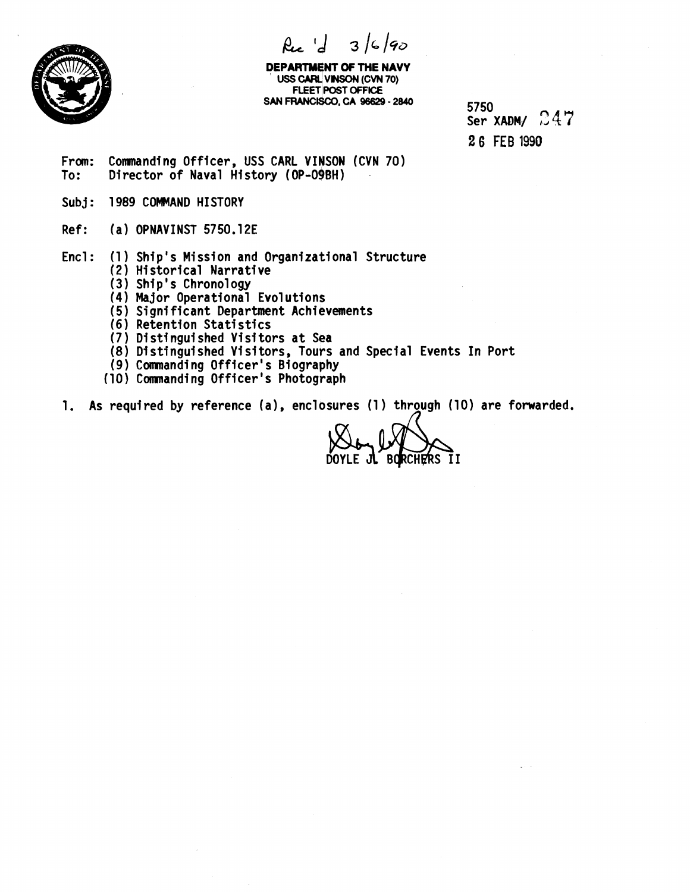

 $\beta_{16}$   $d_{3}/6/90$ 

**DEPARTMENT OF THE NAVY USS CARL VINSON (CVN 70) FLEET POST OFFICE SAN** FRANCISCO, **CA 96629** - **2840** 

5750 Ser XADM/  $247$ **2 6** FEB **1990** 

- From: Commanding Officer, USS CARL VINSON (CVN 70)<br>To: Director of Naval History (OP-O9BH) Director of Naval History (OP-09BH)
- Subj: 1989 COMMAND HISTORY
- Ref: (a) OPNAVINST 5750.12E
- $Enc1:$ (1) Ship's Mission and Organizational Structure
	- (2 **1**  Hi storical Narrative
	- (3) Ship's Chronology
	- (4) Major Operational Evolutions
	- (5) Significant Department Achievements
	- (6) Retention Statistics
	- (7) Distinguished Visitors at Sea
	- (8) Distinguished Visitors, Tours and Special Events In Port
	- 1 Comnandi ng Officer's Biography
	- (10) Commanding Officer's Photograph
- 1. As required by reference (a), enclosures (1) through (10) are forwarded.

DOYLE JL BORCHERS II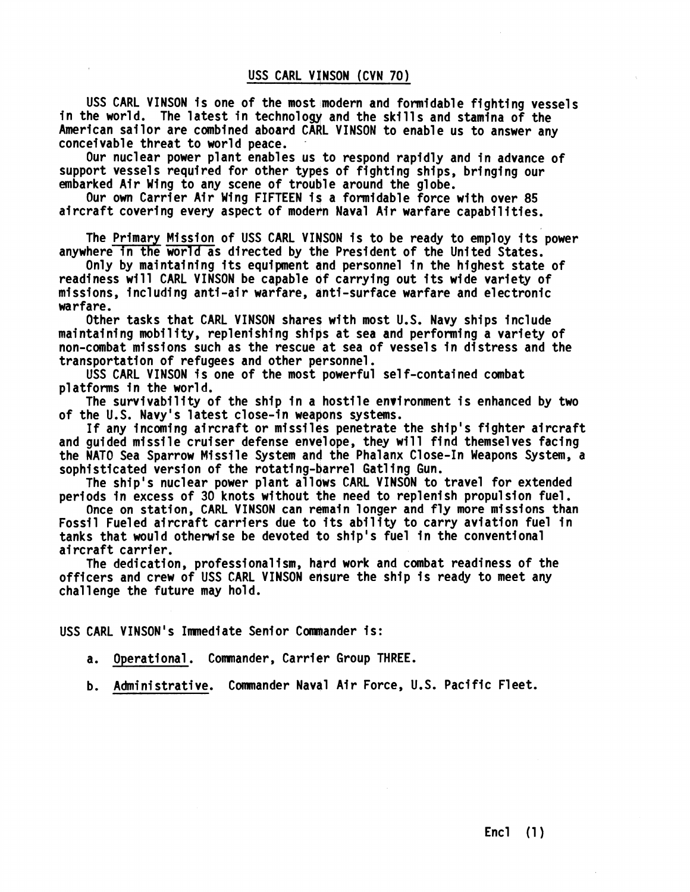USS CARL VINSON is one of the most modern and formidable fighting vessels in the world. The latest in technology and the skills and stamina of the American sailor are combined aboard CARL VINSON to enable us to answer any conceivable threat to world peace.

Our nuclear power plant enables us to respond rapidly and in advance of support vessels required for other types of fighting ships, bringing our embarked Air Wing to any scene of trouble around the globe.

Our own Carrier Air Wing FIFTEEN ig a formidable force with over 85 embarked Air Wing to any scene of trouble around the globe.<br>Our own Carrier Air Wing FIFTEEN is a formidable force with over 85<br>aircraft covering every aspect of modern Naval Air warfare capabilities.

aircraft covering every aspect of modern Naval Air warfare capabilities.<br>The Primary Mission of USS CARL VINSON is to be ready to employ its power anywhere in the world as directed by the President of the United States.

Only by maintaining its equipment and personnel in the highest state of readiness will CARL VINSON be capable of carrying out its wide variety of missions, including anti-air warfare, anti-surface warfare and electronic warfare.

Other tasks that CARL VINSON shares with most U.S. Navy ships include maintaining mobility, replenishing ships at sea and performing a variety of non-combat missions such as the rescue at sea of vessels in distress and the transportation of refugees and other personnel.

USS CARL VINSON is one of the most powerful self-contained combat platforms in the world.

The survivability of the ship in a hostile environment is enhanced by two of the U.S. Navy's latest close-in weapons systems.

If any incoming aircraft or missiles penetrate the ship's fighter aircraft and guided missile cruiser defense envelope, they will find themselves facing the NATO Sea Sparrow Missile System and the Phalanx Close-In Weapons System, a sophisticated version of the rotating-barrel Gatling Gun.

The ship's nuclear power plant allows CARL VINSON to travel for extended periods in excess of 30 knots without the need to replenish propulsion fuel.

Once on station, CARL VINSON can remain longer and fly more missions than Fossil Fueled aircraft carriers due to its ability to carry aviation fuel in tanks that would otherwise be devoted to ship's fuel in the conventional ai rcraft carrier.

The dedication, professionalism, hard work and combat readiness of the officers and crew of USS CARL VINSON ensure the ship is ready to meet any challenge the future may hold.

USS CARL VINSON's Immediate Senior Commander is:

a. Operational. Comnander, Carrier Group THREE.

b. Administrative. Commander Naval Air Force, U.S. Pacific Fleet.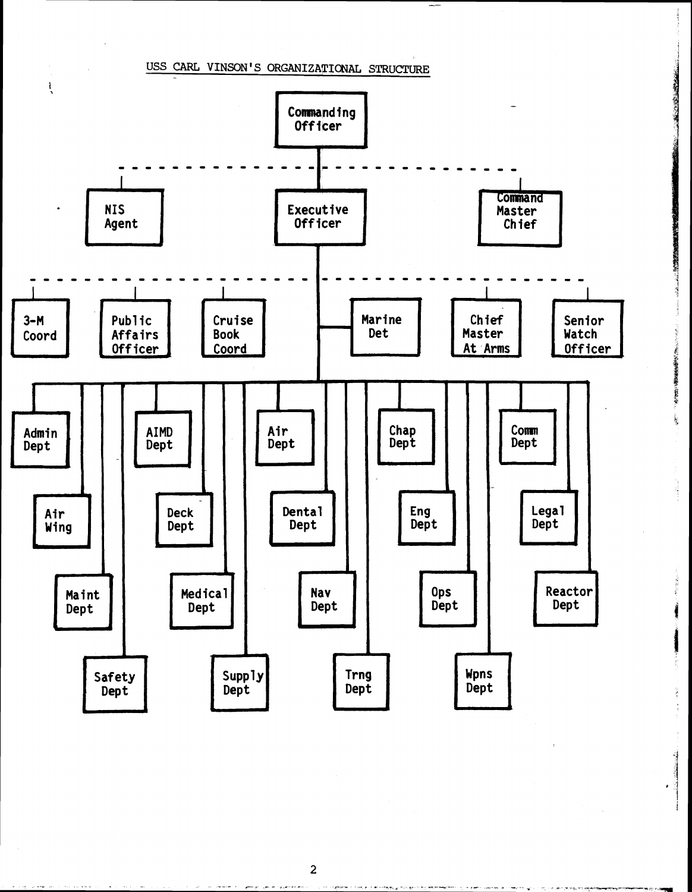

**CONSUMINARY** 

**RANGE** 

● 大学の情報を確認している。

i.

ÿ

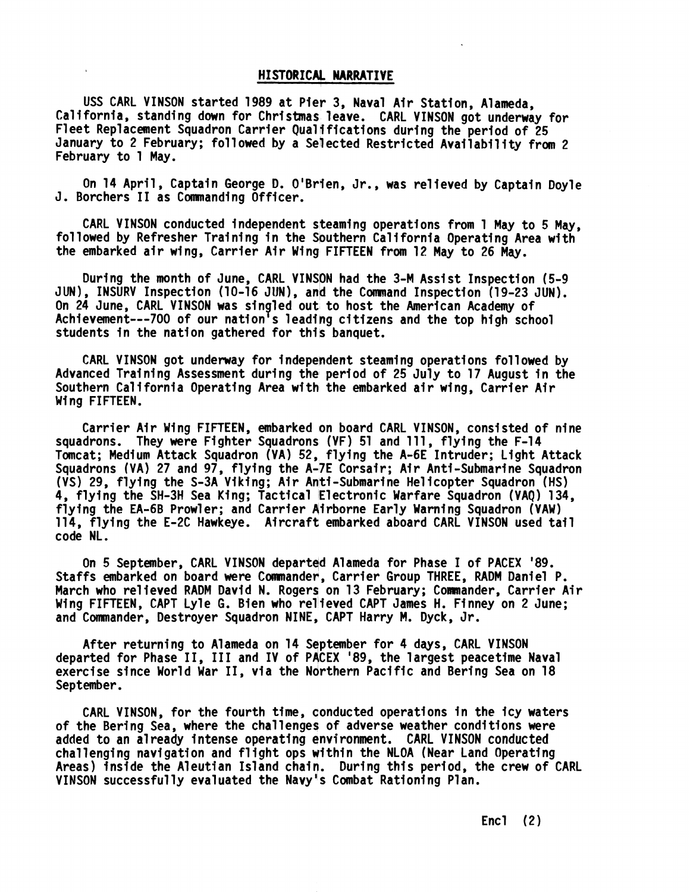### **HISTORICAL NARRATIVE**

USS CARL VINSON started 1989 at Pier 3, Naval Air Station, Alameda, California, standing down for Christmas leave. CARL VINSON got underway for Fleet Replacement Squadron Carrier Qualifications during the period of 25 January to 2 February; followed by a Selected Restricted Availabflity from 2 February to 1 May.

On 14 April, Captain George D. O'Brien, Jr., was re1 ieved by Captain Doyle J. Borchers I1 as Commanding Officer.

CARL VINSON conducted independent steaming operations from 1 May to 5 May, followed by Refresher Training in the Southern California Operating Area with the embarked air wing, Carrier Air Wing FIFTEEN from 12 May to 26 *May.* 

During the month of June, CARL VINSON had the 3-M Assist Inspection (5-9 JUN), INSURV Inspection (10-16 JUN), and the Command Inspection (19-23 JUN). On 24 June, CARL VINSON was singled out to host the American Academy of Achievement---700 of our nation's leading citizens and the top high school students in the nation gathered for this banquet.

CARL VINSON got underway for independent steaming operations followed by Advanced Training Assessment during the period of 25 July to 17 August in the Southern California Operating Area with the embarked air wing, Carrier Air Wing FIFTEEN.

Carrier Air Wing FIFTEEN, embarked on board CARL VINSON, consisted of nine squadrons. They were Fighter Squadrons (VF) 51 and 111, flying the F-14 Tomcat; Medium Attack Squadron (VA) 52, flying the A-6E Intruder; Light Attack Squadrons (VA) 27 and 97, flying the A-7E Corsair; Air Anti-Submarine Squadron (VS) 29, flying the S-3A Viking; Air Anti-Submarine Helicopter Squadron (HS) 4, flying the SH-3H Sea King; Tactical Electronic Warfare Squadron (VAQ) 134, flying the EA-6B Prowler; and Carrier Airborne Early Warning Squadron (VAW) 114, flying the E-2C Hawkeye. Aircraft embarked aboard CARL VINSON used tail code NL.

On 5 September, CARL VINSON departqd Alameda for Phase I of PACEX '89. Staffs embarked on board were Comander, Carrier Group THREE, RADM Daniel P. March who relieved RADM David N. Rogers on 13 February; Commander, Carrier Air Wing FIFTEEN, CAPT Lyle G. Bien who relieved CAPT James H. Finney on 2 June; and Commander, Destroyer Squadron NINE, CAPT Harry M. Dyck, Jr.

After returning to Alameda on 14 September for 4 days, CARL VINSON departed for Phase 11, 111 and IV of PACEX '89, the largest peacetime Naval exercise since World War 11, via the Northern Pacific and Bering Sea on 18 September.

CARL VINSON, for the fourth time, conducted operations in the icy waters of the Bering Sea, where the challenges of adverse weather conditions were added to an a1 ready intense operating environment. CARL VINSON conducted challenging navigation and flight ops within the NLOA (Near Land Operating Areas) inside the Aleutian Island chain. During this period, the crew of CARL VINSON successfully evaluated the Navy's Combat Rationing Plan.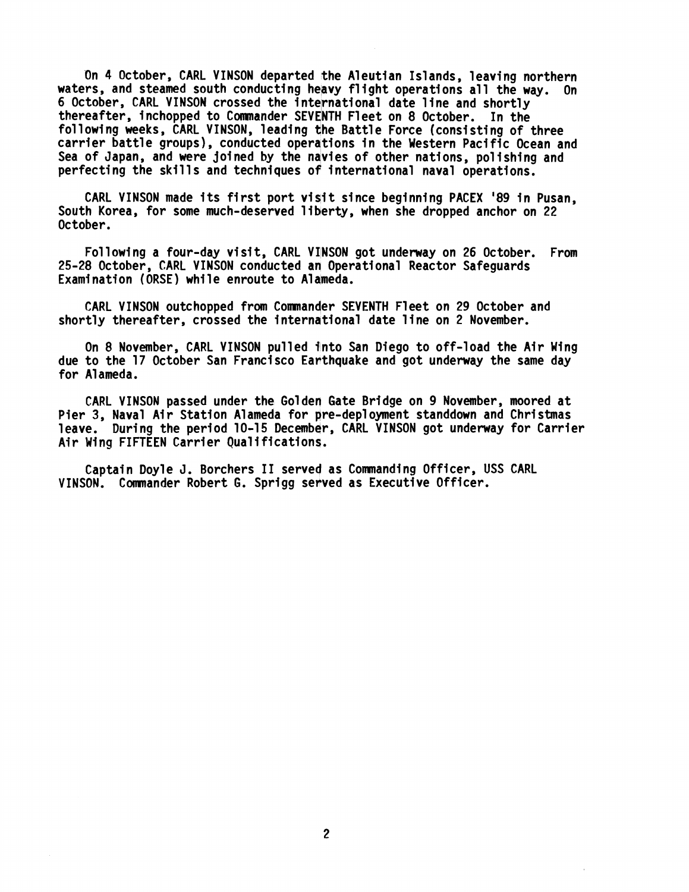On 4 October, CARL VINSON departed the Aleutian Islands, leaving northern waters, and steamed south conducting heavy flight operations all the way. On 6 October, CARL VINSON crossed the international date line and shortly thereafter, inchopped to Commander SEVENTH Fleet on 8 October. In the foll owing weeks, CARL VINSON, leading the Battle Force (consisting of three carrier battle groups), conducted operations in the Western Pacific Ocean and Sea of Japan, and were joined by the navies of other nations, polishing and perfecting the skills and techniques of international naval operations.

CARL VINSON made its first port visit since beginning PACEX '89 in Pusan. South Korea, for some much-deserved 1 iberty, when she dropped anchor on 22 October.

Following a four-day visit, CARL VINSON got underway on 26 October. From 25-28 October, CARL VINSON conducted an Operational Reactor Safeguards Examination (ORSE) while enroute to Aldmeda.

CARL VINSON outchopped from Comnander SEVENTH Fleet on 29 October and shortly thereafter, crossed the interndtional date line on 2 November.

On 8 November, CARL VINSON pulled into San Diego to off-load the Air Wing due to the 17 October San Francisco Earthquake and got underway the same day for A1 ameda.

CARL VINSON passed under the Golden Gate Bridge on 9 November, moored at Pier 3, Naval Air Station Alameda for pre-deployment standdown and Christmas leave. During the period 10-15 December, CARL VINSON got underway for Carrier Pier 3, Naval Air Station Alameda for pro<br>leave. During the period 10-15 December<br>Air Wing FIFTEEN Carrier Qualifications.

Captain Doyle J. Borchers I1 served as Comnanding Officer, USS CARL VINSON. Commander Robert G. Sprigg served as Executive Officer.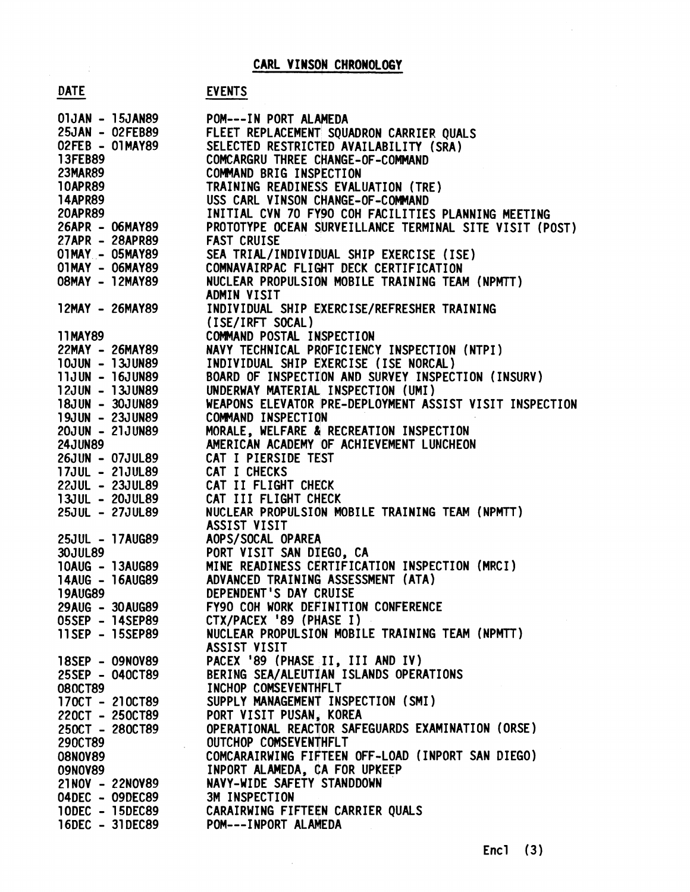# CARL VINSON CHRONOLOGY

# **EVENTS**

|                                    |                                    | CARL VINSON CHRONOLOGY                                                             |
|------------------------------------|------------------------------------|------------------------------------------------------------------------------------|
|                                    |                                    |                                                                                    |
| <b>DATE</b>                        |                                    | <b>EVENTS</b>                                                                      |
|                                    | 01JAN - 15JAN89                    | POM---IN PORT ALAMEDA                                                              |
|                                    | 25JAN - 02FEB89                    | FLEET REPLACEMENT SQUADRON CARRIER QUALS                                           |
| 02FEB - 01MAY89                    |                                    | SELECTED RESTRICTED AVAILABILITY (SRA)                                             |
| 13FEB89                            |                                    | COMCARGRU THREE CHANGE-OF-COMMAND                                                  |
| <b>23MAR89</b>                     |                                    | COMMAND BRIG INSPECTION                                                            |
| 10APR89                            |                                    | TRAINING READINESS EVALUATION (TRE)                                                |
| 14APR89                            |                                    | USS CARL VINSON CHANGE-OF-COMMAND                                                  |
| <b>20APR89</b>                     |                                    | INITIAL CVN 70 FY90 COH FACILITIES PLANNING MEETING                                |
|                                    | 26APR - 06MAY89                    | PROTOTYPE OCEAN SURVEILLANCE TERMINAL SITE VISIT (POST)                            |
| 27APR - 28APR89                    |                                    | <b>FAST CRUISE</b>                                                                 |
| 01MAY - 05MAY89<br>01MAY - 06MAY89 |                                    | SEA TRIAL/INDIVIDUAL SHIP EXERCISE (ISE)<br>COMNAVAIRPAC FLIGHT DECK CERTIFICATION |
| 08MAY - 12MAY89                    |                                    | NUCLEAR PROPULSION MOBILE TRAINING TEAM (NPMTT)                                    |
|                                    |                                    | ADMIN VISIT                                                                        |
|                                    | 12MAY - 26MAY89                    | INDIVIDUAL SHIP EXERCISE/REFRESHER TRAINING                                        |
|                                    |                                    | (ISE/IRFT SOCAL)                                                                   |
| 11MAY89                            |                                    | COMMAND POSTAL INSPECTION                                                          |
|                                    | 22MAY - 26MAY89                    | NAVY TECHNICAL PROFICIENCY INSPECTION (NTPI)                                       |
|                                    | 10JUN - 13JUN89                    | INDIVIDUAL SHIP EXERCISE (ISE NORCAL)                                              |
| 11JUN - 16JUN89                    |                                    | BOARD OF INSPECTION AND SURVEY INSPECTION (INSURV)                                 |
| 12JUN - 13JUN89                    |                                    | UNDERWAY MATERIAL INSPECTION (UMI)                                                 |
| 18JUN - 30JUN89                    |                                    | WEAPONS ELEVATOR PRE-DEPLOYMENT ASSIST VISIT INSPECTION                            |
| 19JUN - 23JUN89                    |                                    | COMMAND INSPECTION                                                                 |
| 20JUN - 21JUN89                    |                                    | MORALE, WELFARE & RECREATION INSPECTION                                            |
| <b>24JUN89</b><br>26JUN - 07JUL89  |                                    | AMERICAN ACADEMY OF ACHIEVEMENT LUNCHEON<br>CAT I PIERSIDE TEST                    |
| 17JUL - 21JUL89                    |                                    | CAT I CHECKS                                                                       |
| 22JUL - 23JUL89                    |                                    | CAT II FLIGHT CHECK                                                                |
| 13JUL - 20JUL89                    |                                    | CAT III FLIGHT CHECK                                                               |
| 25JUL - 27JUL89                    |                                    | NUCLEAR PROPULSION MOBILE TRAINING TEAM (NPMTT)                                    |
|                                    |                                    | ASSIST VISIT                                                                       |
|                                    | 25JUL - 17AUG89                    | AOPS/SOCAL OPAREA                                                                  |
| <b>30JUL89</b>                     |                                    | PORT VISIT SAN DIEGO, CA                                                           |
|                                    | 10AUG - 13AUG89                    | MINE READINESS CERTIFICATION INSPECTION (MRCI)                                     |
|                                    | 14AUG - 16AUG89                    | ADVANCED TRAINING ASSESSMENT (ATA)                                                 |
| <b>19AUG89</b>                     |                                    | DEPENDENT'S DAY CRUISE                                                             |
|                                    | 29AUG - 30AUG89                    | FY90 COH WORK DEFINITION CONFERENCE                                                |
|                                    | 05SEP - 14SEP89<br>11SEP - 15SEP89 | CTX/PACEX '89 (PHASE I)<br>NUCLEAR PROPULSION MOBILE TRAINING TEAM (NPMTT)         |
|                                    |                                    | ASSIST VISIT                                                                       |
|                                    | 18SEP - 09NOV89                    | PACEX '89 (PHASE II, III AND IV)                                                   |
|                                    | 25SEP - 040CT89                    | BERING SEA/ALEUTIAN ISLANDS OPERATIONS                                             |
| <b>080CT89</b>                     |                                    | INCHOP COMSEVENTHFLT                                                               |
|                                    | 170CT - 210CT89                    | SUPPLY MANAGEMENT INSPECTION (SMI)                                                 |
|                                    | 220CT - 250CT89                    | PORT VISIT PUSAN, KOREA                                                            |
|                                    | 250CT - 280CT89                    | OPERATIONAL REACTOR SAFEGUARDS EXAMINATION (ORSE)                                  |
| 290CT89                            |                                    | OUTCHOP COMSEVENTHFLT                                                              |
| 08N0V89                            |                                    | COMCARAIRWING FIFTEEN OFF-LOAD (INPORT SAN DIEGO)                                  |
| 09N0V89                            |                                    | INPORT ALAMEDA, CA FOR UPKEEP                                                      |
|                                    | 21NOV - 22NOV89                    | NAVY-WIDE SAFETY STANDDOWN                                                         |
|                                    | 04DEC - 09DEC89                    | 3M INSPECTION                                                                      |
|                                    | 10DEC - 15DEC89<br>16DEC - 31DEC89 | CARAIRWING FIFTEEN CARRIER QUALS<br>POM---INPORT ALAMEDA                           |
|                                    |                                    |                                                                                    |

 $\sim$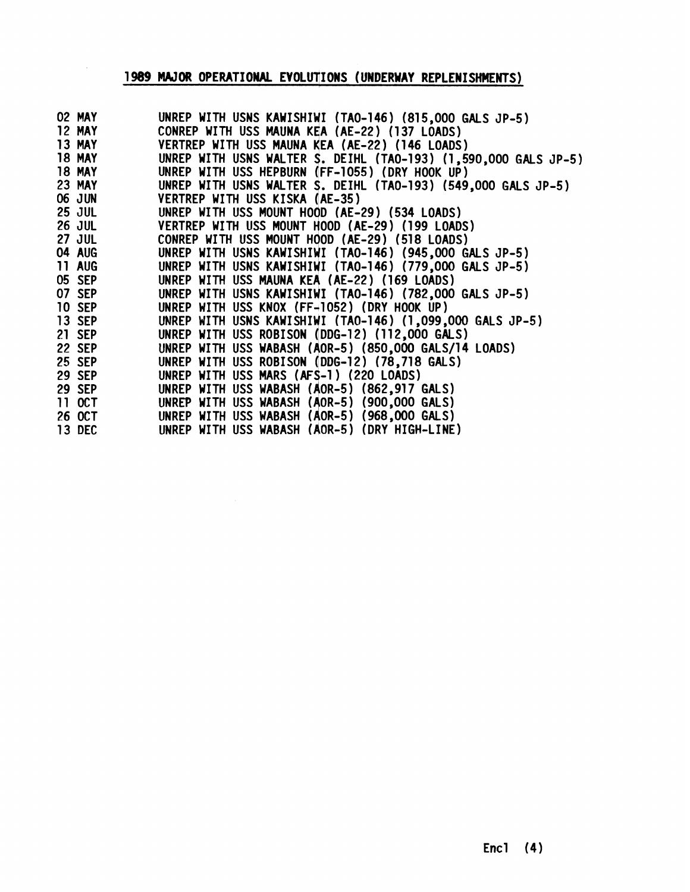# 1989 MAJOR OPERATIONAL EVOLUTIONS (UNDERWAY REPLENISHMENTS)

 $\bar{z}$ 

| 02 MAY        | UNREP WITH USNS KAWISHIWI (TAO-146) (815,000 GALS JP-5)         |
|---------------|-----------------------------------------------------------------|
| 12 MAY        | CONREP WITH USS MAUNA KEA (AE-22) (137 LOADS)                   |
| <b>13 MAY</b> | VERTREP WITH USS MAUNA KEA (AE-22) (146 LOADS)                  |
| 18 MAY        | UNREP WITH USNS WALTER S. DEIHL (TAO-193) (1,590,000 GALS JP-5) |
| <b>18 MAY</b> | UNREP WITH USS HEPBURN (FF-1055) (DRY HOOK UP)                  |
| <b>23 MAY</b> | UNREP WITH USNS WALTER S. DEIHL (TAO-193) (549,000 GALS JP-5)   |
| <b>06 JUN</b> | VERTREP WITH USS KISKA (AE-35)                                  |
| <b>25 JUL</b> | UNREP WITH USS MOUNT HOOD (AE-29) (534 LOADS)                   |
| <b>26 JUL</b> | VERTREP WITH USS MOUNT HOOD (AE-29) (199 LOADS)                 |
| <b>27 JUL</b> | CONREP WITH USS MOUNT HOOD (AE-29) (518 LOADS)                  |
| 04 AUG        | UNREP WITH USNS KAWISHIWI (TAO-146) (945,000 GALS JP-5)         |
| <b>11 AUG</b> | UNREP WITH USNS KAWISHIWI (TAO-146) (779,000 GALS JP-5)         |
| 05 SEP        | UNREP WITH USS MAUNA KEA (AE-22) (169 LOADS)                    |
| 07 SEP        | UNREP WITH USNS KAWISHIWI (TAO-146) (782,000 GALS JP-5)         |
| <b>10 SEP</b> | UNREP WITH USS KNOX (FF-1052) (DRY HOOK UP)                     |
| <b>13 SEP</b> | UNREP WITH USNS KAWISHIWI (TAO-146) (1,099,000 GALS JP-5)       |
| 21 SEP        | UNREP WITH USS ROBISON (DDG-12) (112,000 GALS)                  |
| <b>22 SEP</b> | UNREP WITH USS WABASH (AOR-5) (850,000 GALS/14 LOADS)           |
| <b>25 SEP</b> | UNREP WITH USS ROBISON (DDG-12) (78,718 GALS)                   |
| 29 SEP        | UNREP WITH USS MARS (AFS-1) (220 LOADS)                         |
| <b>29 SEP</b> | UNREP WITH USS WABASH (AOR-5) (862,917 GALS)                    |
| 11 OCT        | UNREP WITH USS WABASH (AOR-5) (900,000 GALS)                    |
| 26 OCT        | UNREP WITH USS WABASH (AOR-5) (968,000 GALS)                    |
| 13 DEC 2001   | UNREP WITH USS WABASH (AOR-5) (DRY HIGH-LINE)                   |
|               |                                                                 |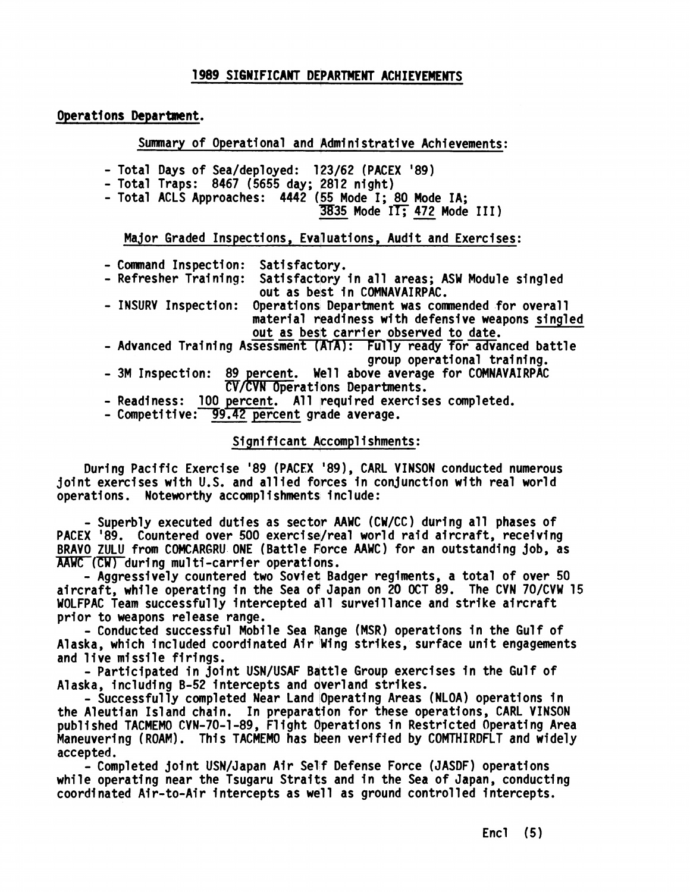### **1 989 SIGWIFICAN'T DEPARTMENT ACHIEVEMEWTS**

### Operations Department.

Summary of Operational and Administrative Achievements:<br>
al Days of Sea/deployed: 123/62 (PACEX '89)<br>
al Traps: 8467 (5655 day; 2812 night)<br>
al ACLS Approaches: 4442 (55 Mode I; 80 Mode IA;<br>
3835 Mode IT; 472 Mode III)<br>
io

- Total Days of Sea/deployed: 123/62 (PACEX '89)

- Total Traps: 8467 (5655 day; 2812 night)
- Total ACLS Approaches: 4442 (55 Mode I; 80 Mode IA;<br>(3835 Mode II; 472 Mode III)

Major Graded Inspections, Evaluations, Audit and Exercises:

- Command Inspection: Satisfactory.<br>- Refresher Training: Satisfactory
- Satisfactory in all areas; ASW Module singled out as best in COMNAVAIRPAC.
- INSURV Inspection: Operations Department was commended for overall material readiness with defensive weapons singled out as besit carrier observed to date.
- Advanced Training Assessment (ATA): Fully ready for advanced battle group operational training.
- 3M Inspection: 89 percent. Well above average for COMNAVAIRPAC  $CV/CVN$  Operations Departments.
- Readiness: 100 percent. All required exercises completed.
- Competitive: 99.42 percent grade average.

### Significant Accomplishments:

During Pacific Exercise '89 (PACEX '89), CARL VINSON conducted numerous joint exercises with U.S. and allied forces in conjunction with real world During Pacific Exercise '89 (PACEX '89), CAR<br>joint exercises with U.S. and allied forces in c<br>:operations. Noteworthy accomplishments include

- Superbly executed duties as sectqr **AAWC** (CW/CC) during all phases of PACEX '89. Countered over 500 exercise/real world raid aircraft, receiving BRAVO ZULU from COMCARGRU ONE (Battle Force **AAWC)** for an outstanding job, as  $\overline{\mathsf{AAWC}}$  (CW) during multi-carrier operations.

- Aggressively countered two Soviet Badger regiments, a total of over 50 aircraft, while operating in the Sea of Japan on 20 OCT 89. The CVN 70/CVW 15 - Aggressively countered two Soviet Badger regiments, a total of over 5<br>aircraft, while operating in the Sea of Japan on 20 OCT 89. The CVN 70/CVW<br>WOLFPAC Team successfully intercepted all surveillance and strike aircraft prior to weapons release range.

- Conducted successful Mobile Sea Fange (MSR) operations in the Gulf of Alaska, which included coordinated Air Wing strikes, surface unit engagements and live missile firings.

- Participated in joint USN/USAF Bqttle Group exercises in the Gulf of Alaska, including B-52 intercepts and qverland strikes.

- Successfully completed Near Land Operating Areas (NLOA) operations in the Aleutian Island chain. In preparation for these operations, CARL VINSON published TACMEMO CVN-70-1-89, Flight Operations in Restricted Operating Area Maneuvering (ROAM). This TACMEMO has been verified by COMTHIRDFLT and widely accepted.

- Completed joint USN/Japan Air Self Defense Force (JASDF) operations while operating near the Tsugaru Straits and in the Sea of Japan, conducting coordinated Air-to-Air intercepts as well as ground controlled intercepts.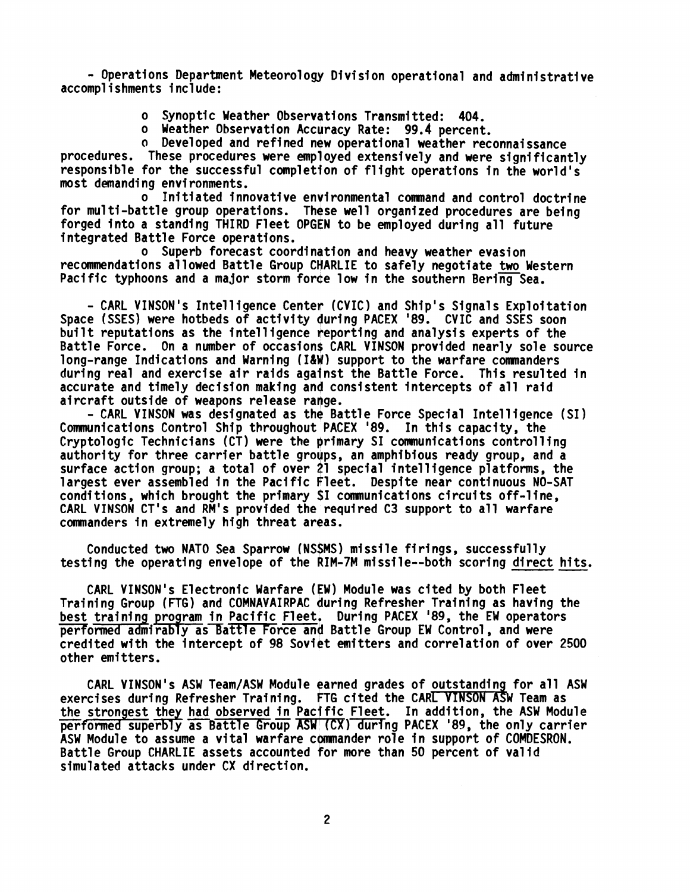- Operations Department Meteor01 ogy Division operational and administrative accompl i shments i ncl ude:

- o Synoptic Weather Observations Transmitted: 404.
- o Weather Observation Accuracy Rate: 99.4 percent.
- **o** Developed and refined new operational weather reconnaissance

procedures. These procedures were employed extensively and were significantly responsible for the successful completion of flight operations in the world's most demanding environments.

o Initiated innovative environmental camnand and control doctrine for multi-battle group operations. These well organized procedures are being forged into a standing THIRD Fleet OPGEN to be employed during all future integrated Battle Force operations.

o Superb forecast coordination and heavy weather evasion recommendations allowed Battle Group CHARLIE to safely negotiate two Western Pacific typhoons and a major storm force low in the southern Bering Sea.

- CARL VINSON 's Intel 1 igence Center (CVIC) and Ship's Signals Exploitation Space (SSES) were hotbeds of activity during PACEX '89. CVIC and SSES soon built reputations as the intelligence feporting and analysis experts of the Battle Force. On a number of occasions CARL VINSON provided nearly sole source long-range Indications and Warning (I&W) support to the warfare commanders during real and exercise air raids against the Battle Force. This resulted in accurate and timely decision making and consistent intercepts of all raid aircraft outside of weapons release range.

- CARL VINSON was designated as the Battle Force Special Intelligence (SI) Communications Control Ship throughout PACEX '89. In this capacity, the Cryptologic Technicians (CT) were the primary SI comnunications controlling authority for three carrier battle groups, an amphibious ready group, and a surface action group; a total of over 21 special intelligence platforms, the largest ever assembled in the Pacific Fleet. Despite near continuous NO-SAT conditions, which brought the primary SI comnunications circui ts off-1 ine, CARL VINSON CT's and RM's provided the required C3 support to all warfare commanders in extremely high threat areas.

Conducted two NATO Sea Sparrow (NS\$MS) missile firings, successfully testing the operating envelope of the IM-7M mi ssi le--both scoring direct hits.

CARL VINSON's Electronic Warfare (EW) Module was cited by both Fleet Training Group (FTG) and COMNAVAIRPAC during Refresher Training as having the best training program in Pacific Fleet. During PACEX '89, the EW operators performed admirably as Battle Force and Battle Group EW Control, and were credited with the intercept of 98 Soviet mi tters and correlation of over 2500 other emitters.

CARL VINSON's ASW Team/ASW Module earned grades of outstanding for all ASW exercises during Refresher Training. FTG cited the CARL VINSON ASW Team as the strongest they had observed in Pacific Fleet. In addition, the ASW Module performed superbly as Battle Group ASW (CX) during PACEX '89, the only carrier ASW Module to assume a vital warfare commander role in support of COMDESRON. Battle Group CHARLIE assets accounted for more than 50 percent of valid simulated attacks under CX direction.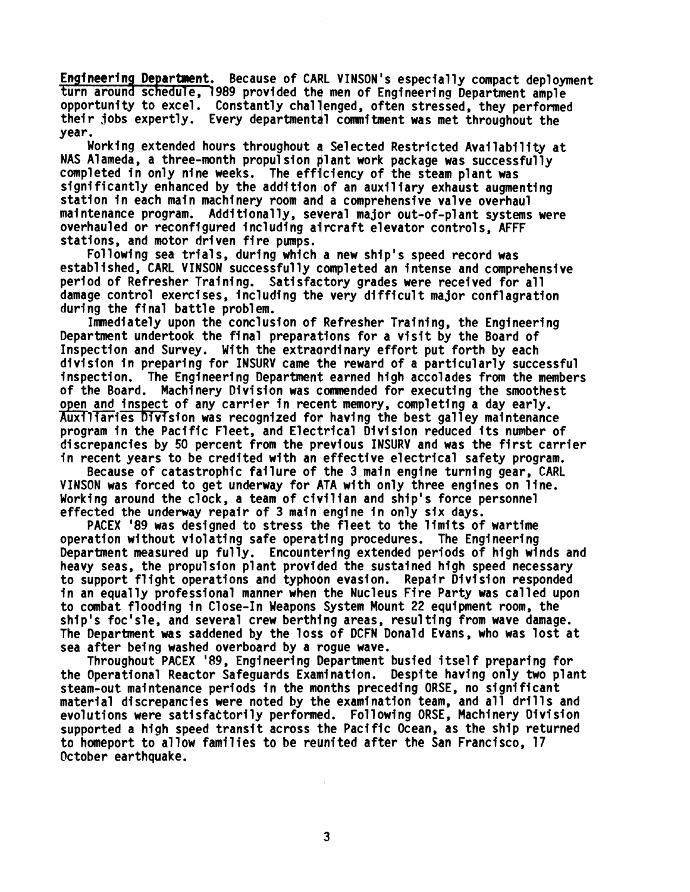Engineering Department. Because of CARL VINSON's especially compact deployment turn around schedule, 1989 provided the men of Engineering Department ample opportunity to excel. Constantly challenged, often stressed, they performed their jobs expertly. Every departmental commitment was met throughout the year.

Working extended hours throughout **4** Selected Restricted Avai labil i ty at NAS Alameda. a three-month propulsion plant work package was successfully completed in only nine weeks. The efficiency of the steam plant was significantly enhanced by the addition of an auxiliary exhaust augmenting station in each main machinery room and a comprehensive valve overhaul maintenance program. Additionally, several major out-of-plant systems were station in each main machinery room and a comprenensive valve overhaul<br>maintenance program. Additionally, several major out-of-plant systems<br>overhauled or reconfigured including aircraft elevator controls, AFFF stations, and motor driven fire pumps.

Following sea trials, during which a new ship's speed record was established, CARL VINSON successfully Completed an intense and comprehensive period of Refresher Training. Satisfactory grades were received for all damage control exercises, including the very difficult major conflagration during the final battle problem.

Imnediately upon the conclusion of Refresher Training, the Engineering Department undertook the final preparations for a visit by the Board of Inspection and Survey. With the extraordinary effort put forth by each division in preparing for INSURV came the reward of a particularly successful inspection. The Engineering Department earned high accolades from the members of the Board. Machinery Division was qomnended for executing the smoothest open and inspect of any carrier in recent memory, completing a day early. Auxiliaries Division was recognized for having the best galley maintenance program in the Pacific Fleet, and Electrical Division reduced its number of discrepancies by 50 percent from the previous INSURV and was the first carrier in recent years to be credited with an effective electrical safety program.

Because of catastrophic failure of the 3 main engine turning gear, CARL VINSON was forced to get underway for ATA with only three engines on line. Working around the clock, a team of civilian and ship's force personnel effected the underway repair of 3 main engine in only six days.

PACEX '89 was designed to stress the fleet to the limits of wartime operation without violating safe operating procedures. The Engineering Department measured up fully. Encountering extended periods of high winds and heavy seas, the propulsion plant provided the sustained high speed necessary to support flight operations and typhoon evasion. Repair Division responded in an equally professional manner when the Nucleus Fire Party was called upon to combat flooding in Close-In Weapons System Mount 22 equipment room, the ship's foc' sle, and several crew berthjng areas, resul ting from wave damage. The Department was saddened by the loss of DCFN Donald Evans, who was lost at sea after being washed overboard by a rogue wave.

Throughout PACEX '89, Engineering Department busied itself preparing for the Operational Reactor Safeguards Examination. Despite having only two plant steam-out maintenance periods in the months preceding ORSE, no significant material discrepancies were noted by the examination team, and all drills and evolutions were satisfactorily performed. Following ORSE, Machinery Division supported a high speed transit across the Pacific Ocean, as the ship returned to homeport to allow families to be reunited after the San Francisco, 17 October earthquake.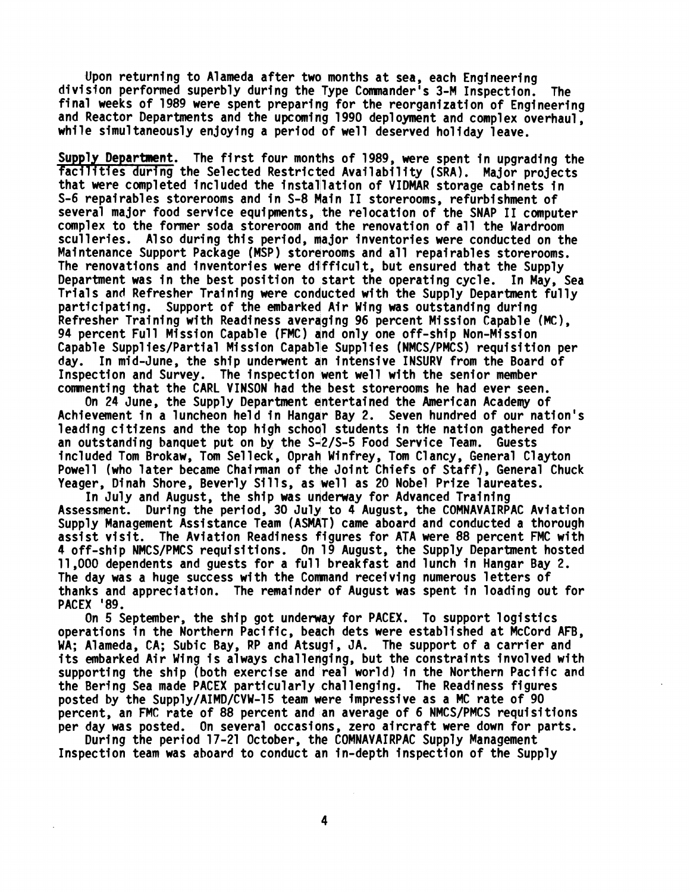Upon returning to Alameda after two months at sea, each Engineering division performed superbly during the Type Cmander's 3-M Inspection. The final weeks of 1989 were spent preparing for the reorganization of Engineering and Reactor Departments and the upcoming 1990 deployment and complex overhaul, while simultaneously enjoying a period of well deserved holiday leave.

Supply Department. The first four months of 1989, were spent in upgrading the<br>facilities during the Selected Restricted Availability (SRA). Major projects that were completed included the installation of VIDMAR storage cabinets in S-6 repairables storerooms and in S-8 Main I1 storerooms, refurbishment of several major food service equipments, the relocation of the SNAP I1 computer complex to the former soda storeroom and the renovation of all the Wardroom sculleries. Also during this period, major inventories were conducted on the Maintenance Support Package (MSP) storerooms and all repairables storerooms. The renovations and inventories were difficult, but ensured that the Supply Department was in the best position to start the operating cycle. In May, Sea Trials and Refresher Training were conducted with the Supply Department fully participating. Support of the embarked Air Wing was outstanding during Refresher Training with Readiness averaging 96 percent Mission Capable (MC), 94 percent Full Mission Capable (FMC) and only one off-ship Non-Mission Capable Suppl ies/Partial Mission Capable Suppl ies (NMCS/PMCS) requisition per day. In mid-June, the ship underwent an intensive INSURV from the Board of Inspection and Survey. The inspection went well with the senior member commenting that the CARL VINSON had the best storerooms he had ever seen.

On 24 June, the Supply Department entertained the American Acadew of Achievement in a luncheon held in Hangqr Bay 2. Seven hundred of our nation's leading citizens and the top high school students in the nation gathered for an outstanding banquet put on by the S+2/S-5 Food Service Team. Guests included Tom Brokaw, Tom Selleck, Oprah Winfrey, Tom Clancy, General Clayton Powell (who later became Chairman of the Joint Chiefs of Staff), General Chuck Yeager, Dinah Shore, Beverly Sills, as well as 20 Nobel Prize laureates.

In July and August, the ship was underway for Advanced Training Assessment. During the period, 30 July to 4 August, the COMNAVAIRPAC Aviation Supply Management Assistance Team (ASMAT) came aboard and conducted a thorough assist visit. The Aviation Readiness figures for ATA were 88 percent FMC with 4 off-ship NMCS/PMCS requi si tions. On 19 August, the Supply Department hosted 11,000 dependents and guests for a full breakfast and lunch in Hangar Bay 2. The day was a huge success with the Command receiving numerous letters of thanks and appreciation. The remainder of August was spent in loading out for PACEX '89.

On 5 September, the ship got underyay for PACEX. To support logistics operations in the Northern Pacific, begch dets were established at McCord AFB, WA; Alameda, CA; Subic Bay, RP and Atsugi, JA. The support of a carrier and its embarked Air Wing is always challenging, but the constraints involved with supporting the ship (both exercise and real world) in the Northern Pacific and the Berfng Sea made PACEX particularly challenging. The Readiness figures posted by the Supply/AIMD/CVW-15 team were impressive as a MC rate of 90 percent, an FMC rate of 88 percent and an average of 6 NMCS/PMCS requisitions per day was posted. On several occasions, zero aircraft were down for parts.

During the period 17-21 October, the COMNAVAIRPAC Supply Management Inspection team was aboard to conduct an in-depth inspection of the Supply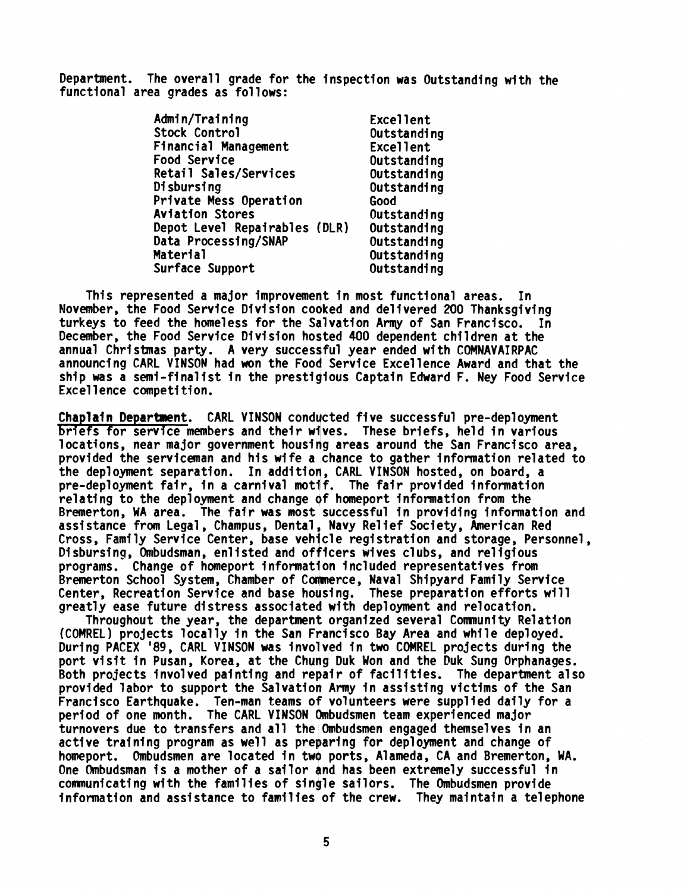Department. The overall grade for the inspection was Outstanding with the functional area grades as follows:

| Admin/Training                | Excellent   |
|-------------------------------|-------------|
| Stock Control                 | Outstanding |
| Financial Management          | Excellent   |
| Food Service                  | Outstanding |
| Retail Sales/Services         | Outstanding |
| Disbursing                    | Outstanding |
| Private Mess Operation        | Good        |
| <b>Aviation Stores</b>        | Outstanding |
| Depot Level Repairables (DLR) | Outstanding |
| Data Processing/SNAP          | Outstanding |
| Material                      | Outstanding |
| Surface Support               | Outstanding |

This represented a major improvement in most functional areas. In November, the Food Service Division cooked and delivered 200 Thanksgiving turkeys to feed the homeless for the Salvation **Arqy** of San Francisco. In December, the Food Service Division hosted 400 dependent children at the annual Christmas party. A very successful year ended with COMNAVAIRPAC announcing CARL VINSON had won the Food Service Excellence Award and that the ship was a semi-finalist in the prestiqious Captain Edward F. Ney Food Service Excel lence competition.

Chaplain Department. CARL VINSON conducted five successful pre-deployment briefs for service members and their wives. These briefs, held in various locations, near major government housing areas around the San Francisco area, provided the serviceman and his wife a chance to gather information related to the deployment separation. In addition, CARL VINSON hosted, on board, a pre-deployment fair, in a carnival motif. The fair provided information relating to the deployment and change of homeport information from the Bremerton, **MA** area. The fair was most successful in providing information and assistance from Legal, Champus, Dental, Navy Relief Society, American Red<br>Cross, Family Service Center, base vehicle registration and storage, Personnel, assistance from Legal, Champus, Dental, Navy Relief Society, American Red<br>Cross, Family Service Center, base vehicle registration and storage, Personnel,<br>Disbursing, Ombudsman, enlisted and officers wives clubs, and religi Cross, Family Service Center, base vehicle registration and storage, Pen<br>Disbursing, Ombudsman, enlisted and officers wives clubs, and religious<br>programs. Change of homeport information included representatives from<br>Progr Bremerton School System, Chamber of Commerce, Naval Shipyard Family Service Center, Recreation Service and base housing. These preparation efforts will greatly ease future distress associated with deployment and relocation.

Throughout the year, the department organized several Comnunity Relation (COMREL) projects locally in the San Fvancisco Bay Area and while deployed. During PACEX '89, CARL VINSON was involved in two COMREL projects during the port visit in Pusan, Korea, at the Chung Duk Won and the Duk Sung Orphanages. Both projects involved painting and repair of facilities. The department also provided labor to support the Salvatioo Army in assisting victims of the San Francisco Earthquake. Ten-man teams of volunteers were supplied daily for a period of one month. The CARL VINSON Ombudsmen team experienced major turnovers due to transfers and all the Ombudsmen engaged themselves in an active training program as well as preparing for deployment and change of homeport. Ombudsmen are located in two ports, Alameda, CA and Bremerton, WA. One Ombudsman is a mother of a sailor and has been extremely successful in communicating with the families of single sailors. The Ombudsmen provide information and assistance to families of the crew. They maintain a telephone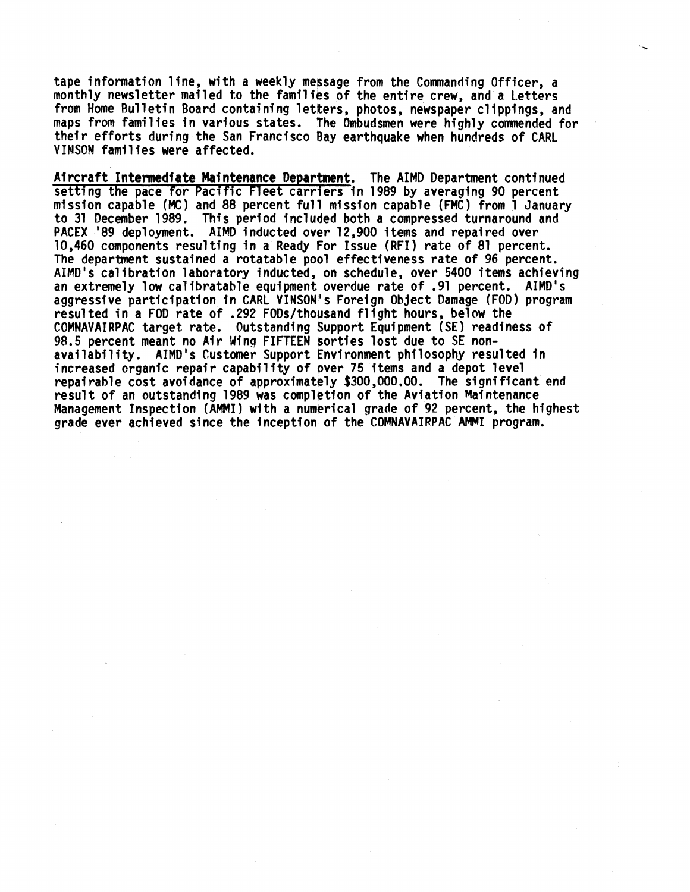tape information line, with a weekly message from the Commanding Officer, a monthly newsletter mailed to the families of the entire crew, and a Letters from Home Bulletin Board containing letters, photos, newspaper clippings, and maps from families in various states. The Ombudsmen were highly commended for their efforts during the San Francisco Bay earthquake when hundreds of CARL VINSON families were affected.

Aircraft Intermediate Maintenance Department. The AIMD Department continued VINSON families were affected.<br>Aircraft Intermediate Maintenance Department. The AIMD Department continued<br>setting the pace for Pacific Fleet carriers in 1989 by averaging 90 percent<br>mission capable (MC) and 88 percent ful mission capable **(MC)** and 88 percent ful! mission capable (FM~) From **1** January to 31 December 1989. This period included both a compressed turnaround and PACEX '89 deployment. AIMD inducted over 12,900 items and repaired over 10,460 components resulting in a Ready For Issue (RFI) rate of 81 percent. The department sustained a rotatable pool effectiveness rate of 96 percent. AIMD's calibration laboratory inducted, on schedule, over 5400 items achieving an extremely low calibratable equipment overdue rate of .91 percent. AIMD's aggressive participation in CARL VINSON's Foreign Object Damage (FOD) program resulted in a FOD rate of .292 FODs/thousand flight hours, below the COMNAVAIRPAC target rate. Outstanding Support Equipment (SE) readiness of 98.5 percent meant no Air Wing FIFTEEN sorties lost due to SE nonavailability. AIMD's Customer Support Environment philosophy resulted in increased organic repair capability of over 75 items and a depot level repairable cost avoidance of approximately \$300,000.00. The signi ffcant end result of an outstanding 1989 was completion of the Aviation Maintenance Management Inspection (AMMI) with a numerical grade of 92 percent, the highest grade ever achieved since the inception of the COMNAVAIRPAC AMMI program.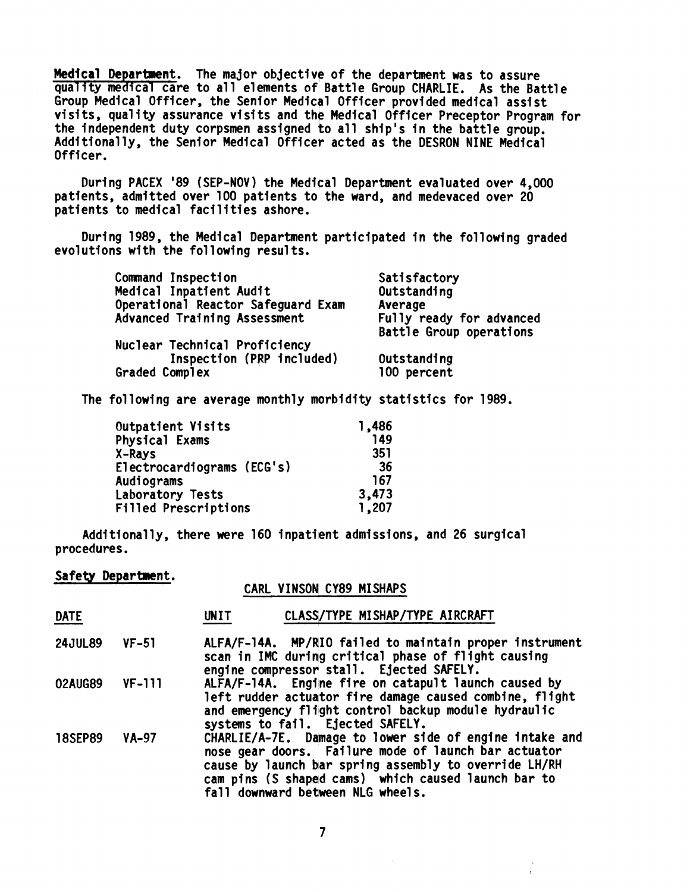**Medical** Department. The major objective of the department was to assure quality medical care to all elements of Battle Group CHARLIE. As the Battle Group Medical Officer, the Senior Medicel Officer provided medical assist visits, quality assurance visits and the Medical Officer Preceptor Program for the independent duty corpsmen assigned to all ship's in the battle group. Additionally, the Senior Medical Officer acted as the DESRON NINE Medical Officer.

During PACEX '89 (SEP-NOV) the Medical Department evaluated over 4,000 patients, admitted over 100 patients to the ward, and medevaced over 20 patients to medical facilities ashore.

During 1989, the Medical Department participated in the following graded evolutions with the following results.

| Command Inspection                 | Satisfactory             |
|------------------------------------|--------------------------|
| Medical Inpatient Audit            | Outstanding              |
| Operational Reactor Safeguard Exam | Average                  |
| Advanced Training Assessment       | Fully ready for advanced |
|                                    | Battle Group operations  |
| Nuclear Technical Proficiency      |                          |
| Inspection (PRP included)          | Outstanding              |
| Graded Complex                     | 100 percent              |
|                                    |                          |

The following are average monthly morbidity statistics for 1989.

| Outpatient Visits          | 1,486 |
|----------------------------|-------|
| Physical Exams             | 149   |
| X-Rays                     | 351   |
| Electrocardiograms (ECG's) | -36   |
| Audiograms                 | 167   |
| Laboratory Tests           | 3,473 |
| Filled Prescriptions       | 1,207 |

Additionally, there were 160 inpatient admissions, and 26 surgical procedures.

# Safety Department.<br>CARL VINSON CY89 MISHAPS

| procedures.        |              |                                                                                                                                                                                                                                                                      |  |  |
|--------------------|--------------|----------------------------------------------------------------------------------------------------------------------------------------------------------------------------------------------------------------------------------------------------------------------|--|--|
| Safety Department. |              | CARL VINSON CY89 MISHAPS                                                                                                                                                                                                                                             |  |  |
| <b>DATE</b>        |              | CLASS/TYPE MISHAP/TYPE AIRCRAFT<br><b>UNIT</b>                                                                                                                                                                                                                       |  |  |
| <b>24JUL89</b>     | $VF-51$      | ALFA/F-14A. MP/RIO failed to maintain proper instrument<br>scan in IMC during critical phase of flight causing<br>engine compressor stall. Ejected SAFELY.                                                                                                           |  |  |
| 02AUG89            | $VF-111$     | ALFA/F-14A. Engine fire on catapult launch caused by<br>left rudder actuator fire damage caused combine, flight<br>and emergency flight control backup module hydraulic<br>systems to fail. Ejected SAFELY.                                                          |  |  |
| <b>18SEP89</b>     | <b>VA-97</b> | CHARLIE/A-7E. Damage to lower side of engine intake and<br>nose gear doors. Failure mode of launch bar actuator<br>cause by launch bar spring assembly to override LH/RH<br>cam pins (S shaped cams) which caused launch bar to<br>fall downward between NLG wheels. |  |  |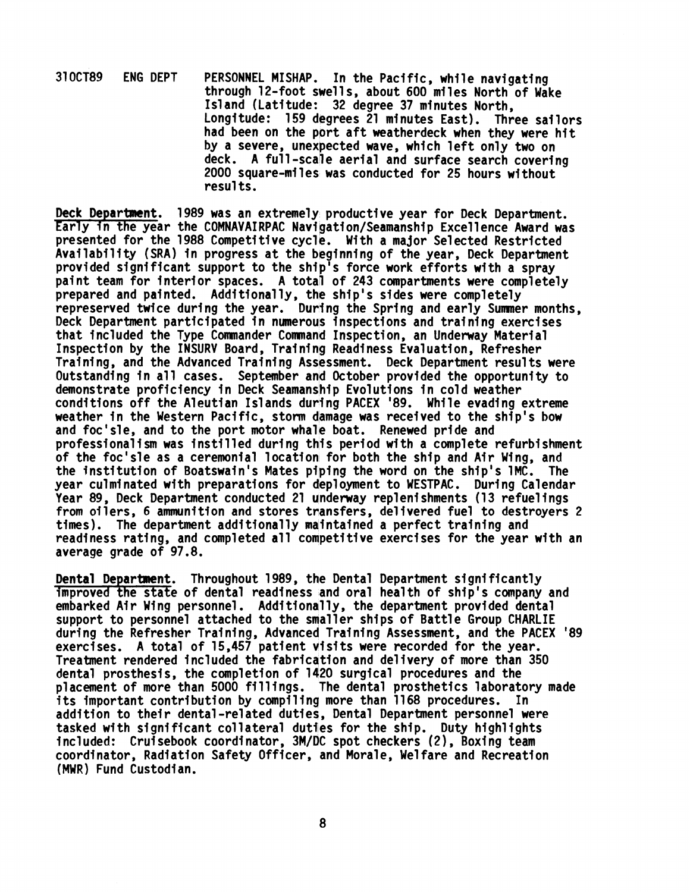310CT89 ENG DEPT PERSONNEL MISHAP. In the Pacific, while navigating through 12-foot swells, about 600 miles North of Wake Island (Latitude: 32 degree 37 minutes North, Longitude: 159 degrees 21 minutes East). Three sailors had been on the port aft weatherdeck when they were hit by a severe, unexpected wave, which left only two on deck. A full-scale aerial and surface search covering 2000 square-miles was conducted for 25 hours without resul ts.

Deck Department. 1989 was an extremely productive year for Deck Department. Early in the year the COMNAVAIRPAC Navigation/Seamanship Excellence Award was presented for the 1988 Competitive cycle. Wi th a major Selected Restricted Availability (SRA) in progress at the beginning of the year, Deck Department provided significant support to the ship<sup>1</sup>s force work efforts with a spray paint team for interior spaces. A total of 243 compartments were completely prepared and painted. Additionally, the ship's sides were completely represerved twice during the year. During the Spring and early Summer months, Deck Department participated in numerous inspections and training exercises that included the Type Commander Command Inspection, an Underway Material Inspection by the INSURV Board, Training Readiness Evaluation, Refresher Training, and the Advanced Training Assessment. Deck Department results were Outstanding in all cases. September and October provided the opportunity to demonstrate proficiency in Deck Seamanship Evolutions in cold weather conditions off the Aleutian Islands during PACEX '89. While evading extreme weather in the Western Pacific, storm damage was received to the ship's bow and foc'sle, and to the port motor whale boat. Renewed pride and professionalism was instilled during thlis period with a complete refurbishment of the foc'sle as a ceremonial location for both the ship and Air Wing, and the institution of Boatswain's Mates piping the word on the ship's 1MC. The year culminated with preparations for deployment to WESTPAC. During Calendar Year 89. Deck Department conducted 21 underway replenishments (13 refuelings from oilers, 6 ammunition and stores transfers, delivered fuel to destroyers 2 times). The department additionally maintained a perfect training and readiness rating, and completed all competitive exercises for the year with an average grade of 97.8.

Dental Department. Throughout 1989, the Dental Department significantly improved the state of dental readfness and oral health of ship's company and embarked Air Wing personnel. Additionally, the department provided dental support to personnel attached to the smaller ships of Battle Group CHARLIE during the Refresher Training, Advanced Training Assessment, and the PACEX '89 exercises. A total of 15,457 patient visits were recorded for the year. Treatment rendered included the fabrication and delivery of more than 350 dental prosthesis, the completion of 1420 surgical procedures and the placement of more than 5000 fillings. The dental prosthetics laboratory made its important contribution by compilinq more than 1168 procedures. In addition to their dental-related duties, Dental Department personnel were tasked with significant collateral duties for the ship. Duty highlights included: Cruisebook coordinator, 3M/DC spot checkers (2), Boxing team coordinator, Radiation Safety Officer, and Morale, We1 fare and Recreation (MWR) Fund Custodian.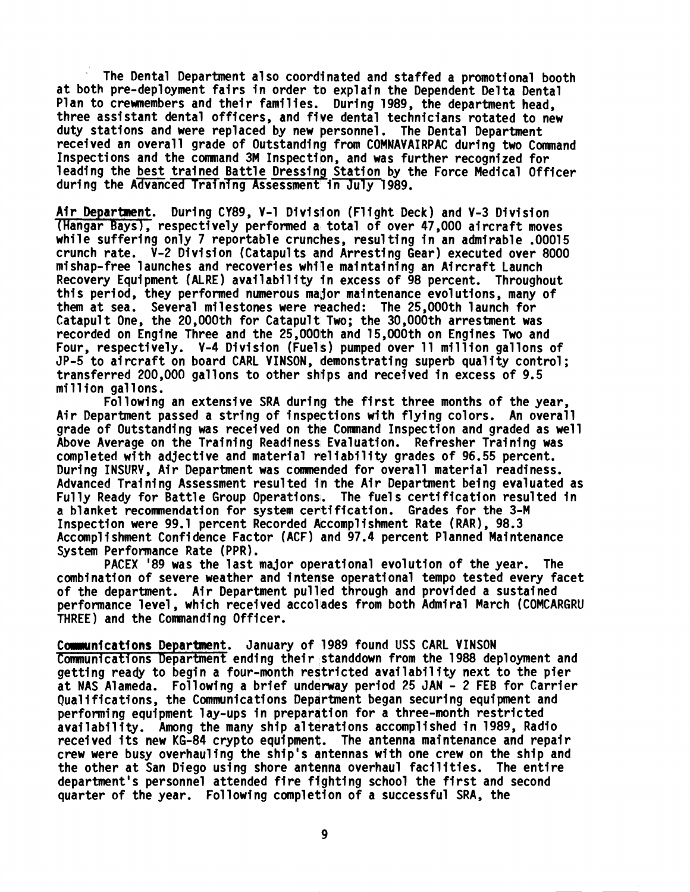The Dental Department also coordinated and staffed a promotional booth at both pre-deployment fairs in order to explain the Dependent Delta Dental Plan to crewmembers and their families. During 1989, the department head. three assistant dental officers, and five dental technicians rotated to new duty stations and were replaced by new personnel. The Dental Department received an overall grade of Outstanding from COMNAVAIRPAC during two Command Inspections and the command 3M Inspection, and was further recognized for leading the best trained Battle Dressing Station by the Force Medical Officer at both pre-deployment fairs in order to explain the<br>Plan to crewmembers and their families. During 1989,<br>three assistant dental officers, and five dental tech<br>duty stations and were replaced by new personnel. Th<br>received The Dental Department also coordinated and staffed a promotional boot at both pre-deployment fairs in order to explain the Dependent Delta Dental Three assistant dental officers, and five dental technicians rotated to new

(Hangar Bays), respectively performed a total of over 47,000 aircraft moves<br>while suffering only 7 reportable crunches, resulting in an admirable .00015 crunch rate. V-2 Division (Catapults and Arresting Gear) executed over 8000 mi shap-free 1 aunches and recoveries whi **7** e maintaining an Aircraft Launch Recovery Equipment (ALRE) availability in excess of 98 percent. Throughout this period, they performed numerous major maintenance evolutions, many of them at sea. Several milestones were reached: The 25,000th launch for Catapult One, the 20,000th for Catapult Two; the 30,000th arrestment was recorded on Engine Three and the 25,000th and 15,000th on Engines Two and Four, respectively. V-4 Division (Fuels) pumped over ll million gallons of recorded on Engine inree and the 25,000th and 15,000th on Engines iwo and<br>Four, respectively. V-4 Division (Fuels) pumped over 11 million gallons of<br>JP-5 to aircraft on board CARL VINSON, demonstrating superb quality contr transferred 200,000 gallons to other ships and received in excess of 9.5 million gallons.

Following an extensive SRA during the first three months of the year. Air Department passed a string of inspections with flying colors. An overall grade of Outstanding was received on the Command Inspection and graded as well Above Average on the Training Readiness Evaluation. Refresher Training was grade of Outstanding was received on the Command Inspection and graded as w<br>Above Average on the Training Readiness Evaluation. Refresher Training wa<br>completed with adjective and material reliability grades of 96.55 percen During INSURV, Air Department was conmended for overall material readiness. completed with adjective and material reliability grades of 96.55 percent.<br>During INSURV, Air Department was commended for overall material readiness.<br>Advanced Training Assessment resulted in the Air Department being evalu Fully Ready for Battle Group Operations. The fuels certification resulted in a blanket recomnendation for system certification. Grades for the 3-M Inspection were 99.1 percent Recorded Accomplishment Rate (RAR), 98.3 Accompl i shment Confi dence Factor (ACF) and 97.4 percent Planned Mai ntenance System Performance Rate (PPR).

PACEX '89 was the last major operational evolution of the year. The combination of severe weather and intense operational tempo tested every facet of the department. Air Department pulled through and provided a sustained<br>performance level, which received accolades from both Admiral March (COMCARGRU<br>-------THREE) and the Commanding Officer.

Communications Department. January of 1989 found USS CARL VINSON Communications Department ending their standdown from the 1988 deployment and getting ready to begin a four-month restricted availability next to the pier getting ready to begin a four-month restricted availability next to the pier<br>at NAS Alameda. Following a brief underway period 25 JAN - 2 FEB for Carrier<br>Qualifications, the Communications Department began securing equipme performing equipment lay-ups in prepargtion for a three-month restricted availability. Among the many ship alterations accomplished in 1989, Radio received its new KG-84 crypto equipment. The antenna maintenance and repair crew were busy overhauling the ship's dntennas with one crew on the ship and the other at San Diego using shore antenna overhaul facilities. The entire department's personnel attended fire fighting school the first and second quarter of the year. Following completion of a successful SRA, the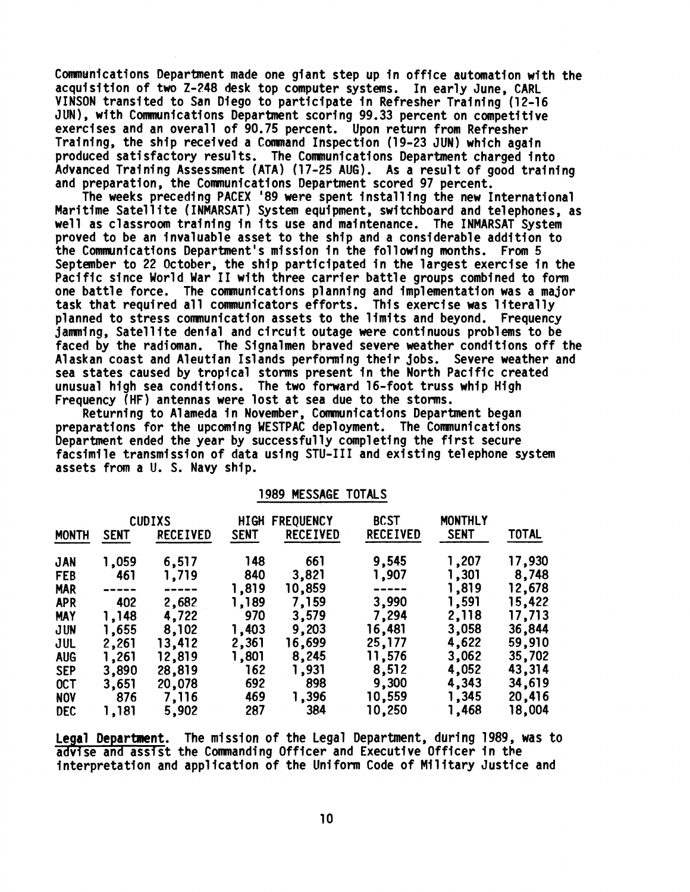Communications Department made one giant step up in office automation with the acquisition of two 2-248 desk top computer systems. In early June, CARL VINSON transited to San Diego to participate in Refresher Training (12-16 JUN), with Communications Department scoring 99.33 percent on competitive exercises and an overall of 90.75 percent. Upon return from Refresher Training, the ship received a Conmand Ihspection (19-23 JUN) which again produced satisfactory results. The Communications Department charged into Advanced Training Assessment (ATA) (17-25 AUG). As a result of good training and preparation, the Comunications Depsrtment scored 97 percent.

The weeks preceding PACEX '89 were spent installing the new International and preparation, the Communications Department scored 97 percent.<br>The weeks preceding PACEX '89 were spent installing the new International<br>Maritime Satellite (INMARSAT) System equipment, switchboard and telephones, as<br>wel well as classroom training in its use and maintenance. The INMARSAT System proved to be an invaluable asset to the ship and a considerable addition to the Communications Department's mission in the following months. From 5 September to 22 October, the ship participated in the largest exercise in the Pacific since World War I1 with three carrier battle groups combined to form one battle force. The conmunications planning and implementation was a major task that required all communicators efforts. This exercise was literally planned to stress comnunication assets to the limits and beyond. Frequency jamming, Satellite denial and circuit outage were continuous problems to be faced by the radioman. The Signalmen braved severe weather conditions off the A1 askan coast and Aleutian Islands performing their jobs. Severe weather and sea states caused by tropical storms present in the North Pacific created unusual high sea conditions. The two forward 16-foot truss whip High Frequency (HF) antennas were lost at sea due to the storms.

Returning to Alameda in November, Communications Department began preparations for the upcoming WESTPAC deployment. The Comnunications Department ended the year by successfully completing the first secure facsimile transmission of data using STU-I11 and existing telephone system

|  | 1989 MESSAGE TOTALS |  |  |  |
|--|---------------------|--|--|--|
|--|---------------------|--|--|--|

|              |             | assets from a U. S. Navy ship. |             |                     |                 |                |              |
|--------------|-------------|--------------------------------|-------------|---------------------|-----------------|----------------|--------------|
|              |             |                                |             | 1989 MESSAGE TOTALS |                 |                |              |
|              |             | <b>CUDIXS</b>                  | <b>HIGH</b> | <b>FREQUENCY</b>    | <b>BCST</b>     | <b>MONTHLY</b> |              |
| <b>MONTH</b> | <b>SENT</b> | <b>RECEIVED</b>                | <b>SENT</b> | <b>RECEIVED</b>     | <b>RECEIVED</b> | <b>SENT</b>    | <b>TOTAL</b> |
| <b>JAN</b>   | 1,059       | 6,517                          | 148         | 661                 | 9,545           | 1,207          | 17,930       |
| <b>FEB</b>   | 461         | 1,719                          | 840         | 3,821               | 1,907           | 1,301          | 8,748        |
| <b>MAR</b>   |             |                                | 1,819       | 10,859              |                 | 1,819          | 12,678       |
| <b>APR</b>   | 402         | 2,682                          | 1,189       | 7,159               | 3,990           | 1,591          | 15,422       |
| <b>MAY</b>   | 1,148       | 4,722                          | 970         | 3,579               | 7,294           | 2,118          | 17,713       |
| <b>JUN</b>   | 1,655       | 8,102                          | 1,403       | 9,203               | 16,481          | 3,058          | 36,844       |
| JUL          | 2,261       | 13,412                         | 2,361       | 16,699              | 25,177          | 4,622          | 59,910       |
| <b>AUG</b>   | 1,261       | 12,819                         | 1,801       | 8,245               | 11,576          | 3,062          | 35,702       |
| <b>SEP</b>   | 3,890       | 28,819                         | 162         | 1,931               | 8,512           | 4,052          | 43,314       |
| OCT          | 3,651       | 20,078                         | 692         | 898                 | 9,300           | 4,343          | 34,619       |
| <b>NOV</b>   | 876         | 7,116                          | 469         | 1,396               | 10,559          | 1,345          | 20,416       |
| <b>DEC</b>   | 1,181       | 5,902                          | 287         | 384                 | 10,250          | 1,468          | 18,004       |

Legal Department. The mission of the Legal Department, during 1989, was to advise and assist the Commanding Officer and Executive Officer in the interpretation and application of the Uni form Code of Military Justice and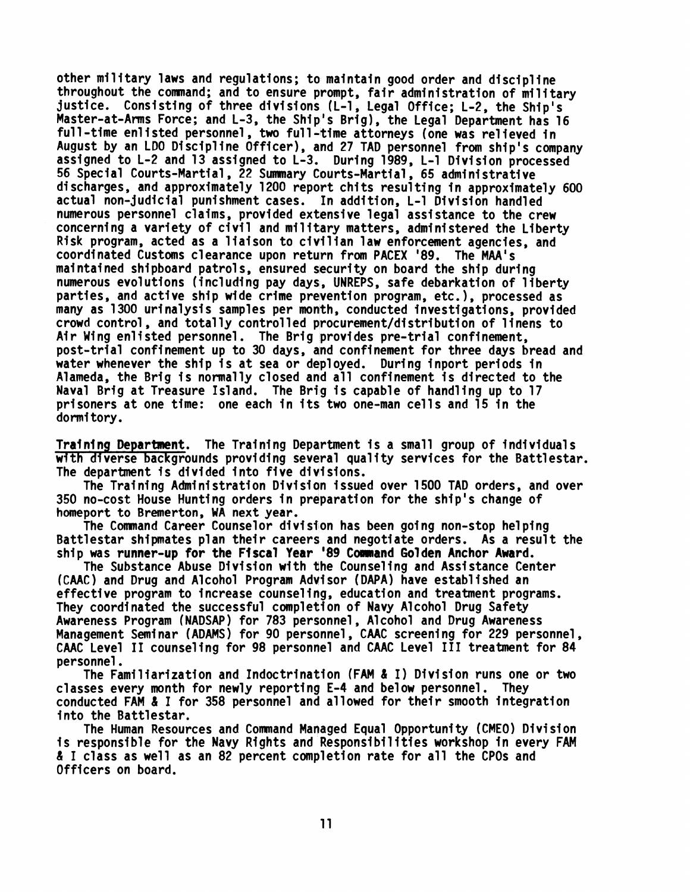other military laws and regulations; to maintain good order and discipline throughout the command; and to ensure prompt, fair administration of military justice. Consisting of three divisions (L-1 , Legal Office; L-2, the Ship's Master-at-Arms Force; and L-3, the Ship's Brig), the Legal Department has 16 gustice. Consisting of three divisions (L-i, Legal Office; L-2, the Ship's<br>Master-at-Arms Force; and L-3, the Ship's Brig), the Legal Department has legal -time enlisted personnel, two full-time attorneys (one was relieved full-time enlisted personnel, two full-time attorneys (one was relieved in<br>August by an LDO Discipline Officer), and 27 TAD personnel from ship's company assigned to L-2 and 13 assigned to L-3. During 1989, L-1 Division processed 56 Special Courts-Martial , 22 Summary Courts-Martial , 65 administrative 56 Special Courts-Martial, 22 Summary Courts-Martial, 65 administrative<br>discharges, and approximately 1200 report chits resulting in approximately 600 actual non-judicial punishment cases. In addition, L-1 Division handled numerous personnel claims, provided extensive legal assistance to the crew concerning a variety of civil and military matters, administered the Liberty Risk program, acted as a liaison to civilian law enforcement agencies, and coordinated Customs clearance upon return from PACEX '89. The MAA's maintained shipboard patrols, ensured security on board the ship during coordinated customs clearance upon return from PACEX '89. The MAA's<br>maintained shipboard patrols, ensured security on board the ship during<br>numerous evolutions (including pay days, UNREPS, safe debarkation of liberty<br>nanti parties, and active ship wide crime prevention program, etc.), processed as many as 1300 urinalysis samples per month, conducted investigations, provided crowd control , and total ly control led procurement/distri bution of 1 inens to Air Wing enlisted personnel. The Brig provides pre-trial confinement, post-trial confinement up to 30 days, and confinement for three days bread and water whenever the ship is at sea or deployed. During inport periods in Alameda, the Brig is normally closed and all confinement is directed to the Naval Brig at Treasure Island. The Brig is capable of handling up to 17 prisoners at one time: one each in its two one-man cells and 15 in the dormitory.

Training Department. The Training Department is a small group of individuals wfth diverse backgrounds providing several quality services for the Battlestar. The department is divided into five divisions.

The Training Admini stration Division issued over 1500 TAD orders, and over 350 no-cost House Hunting orders in preparation for the ship's change of homeport to Bremerton, WA next year.

The Cornnand Career Counselor division has been going non-stop helping Battlestar shipmates plan their careers and negotiate orders. As a result the ship was runner-up for the Fiscal Year '89 Command Golden Anchor Award.

The Substance Abuse Division with the Counseling and Assistance Center (CAAC) and Drug and Alcohol Program Advisor (DAPA) have established an effective program to increase counseling, education and treatment programs. They coordinated the successful completion of Navy Alcohol Drug Safety Awareness Program (NADSAP) for 783 personnel, Alcohol and Drug Awareness Management Seminar (ADAMS) for 90 personnel, CAAC screening for 229 personnel, CAAC Level II counseling for 98 personnel and CAAC Level III treatment for 84 personnel.

The Familiarizati on and Indoctrination **(FAM** & I) Division runs one or two classes every month for newly reporting E-4 and below personnel. They conducted FAM & I for 358 personnel and allowed for their smooth integration into the Battlestar. tion<br>g E-4<br>d all

The Human Resources and Comnand Managed Equal Opportunity (CMEO) Division is responsible for the Navy Rights and Responsibilities workshop in every **FAM**  & I class as well as an 82 percent completion rate for all the CPOs and Officers on board.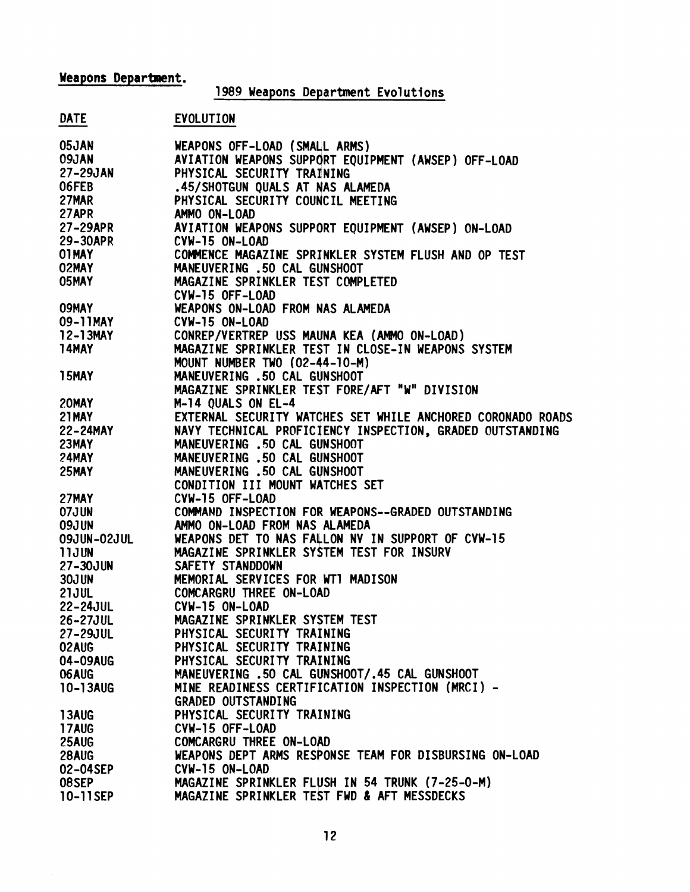# **Weapons Department.**

# 1989 Weapons Department Evolutions

# DATE EVOLUTION

| 05JAN              | WEAPONS OFF-LOAD (SMALL ARMS)                               |
|--------------------|-------------------------------------------------------------|
| 09JAN              | AVIATION WEAPONS SUPPORT EQUIPMENT (AWSEP) OFF-LOAD         |
| 27-29JAN           | PHYSICAL SECURITY TRAINING                                  |
| 06FEB              | .45/SHOTGUN QUALS AT NAS ALAMEDA                            |
| 27MAR              | PHYSICAL SECURITY COUNCIL MEETING                           |
| 27APR              | AMMO ON-LOAD                                                |
| 27-29APR           | AVIATION WEAPONS SUPPORT EQUIPMENT (AWSEP) ON-LOAD          |
| 29-30APR           | CVW-15 ON-LOAD                                              |
| 01MAY              | COMMENCE MAGAZINE SPRINKLER SYSTEM FLUSH AND OP TEST        |
| 02MAY              | MANEUVERING .50 CAL GUNSHOOT                                |
| 05MAY              | MAGAZINE SPRINKLER TEST COMPLETED                           |
|                    | CVW-15 OFF-LOAD                                             |
| 09MAY              | WEAPONS ON-LOAD FROM NAS ALAMEDA                            |
| 09-11MAY           | CVW-15 ON-LOAD                                              |
| 12-13MAY           | CONREP/VERTREP USS MAUNA KEA (AMMO ON-LOAD)                 |
| 14MAY              | MAGAZINE SPRINKLER TEST IN CLOSE-IN WEAPONS SYSTEM          |
|                    | MOUNT NUMBER TWO (02-44-10-M)                               |
| 15MAY              | MANEUVERING .50 CAL GUNSHOOT                                |
|                    | MAGAZINE SPRINKLER TEST FORE/AFT "W" DIVISION               |
| 20MAY              | M-14 QUALS ON EL-4                                          |
| <b>21MAY</b>       | EXTERNAL SECURITY WATCHES SET WHILE ANCHORED CORONADO ROADS |
|                    |                                                             |
| 22-24MAY<br>23MAY  | NAVY TECHNICAL PROFICIENCY INSPECTION, GRADED OUTSTANDING   |
| 23MAY              | MANEUVERING .50 CAL GUNSHOOT                                |
| <b>24MAY</b>       | MANEUVERING .50 CAL GUNSHOOT                                |
| 25MAY              | MANEUVERING .50 CAL GUNSHOOT                                |
|                    | CONDITION III MOUNT WATCHES SET                             |
| 27MAY              | CVW-15 OFF-LOAD                                             |
| 07JUN              | COMMAND INSPECTION FOR WEAPONS--GRADED OUTSTANDING          |
| <b>09JUN</b>       | AMMO ON-LOAD FROM NAS ALAMEDA                               |
| <b>09JUN-02JUL</b> | WEAPONS DET TO NAS FALLON NV IN SUPPORT OF CVW-15           |
| <b>11JUN</b>       | MAGAZINE SPRINKLER SYSTEM TEST FOR INSURV                   |
| 27-30JUN           | SAFETY STANDDOWN                                            |
| <b>30JUN</b>       | MEMORIAL SERVICES FOR WTI MADISON                           |
| <b>21JUL</b>       | COMCARGRU THREE ON-LOAD                                     |
| 22-24JUL           | CVW-15 ON-LOAD                                              |
| 26-27JUL           | MAGAZINE SPRINKLER SYSTEM TEST                              |
| 27-29JUL           | PHYSICAL SECURITY TRAINING                                  |
| 02AUG              | PHYSICAL SECURITY TRAINING                                  |
| 04-09AUG           | PHYSICAL SECURITY TRAINING                                  |
| 06AUG              | MANEUVERING .50 CAL GUNSHOOT/.45 CAL GUNSHOOT               |
| 10-13AUG           | MINE READINESS CERTIFICATION INSPECTION (MRCI) -            |
|                    | <b>GRADED OUTSTANDING</b>                                   |
| 13AUG              | PHYSICAL SECURITY TRAINING                                  |
| <b>17AUG</b>       | CVW-15 OFF-LOAD                                             |
| 25AUG              | COMCARGRU THREE ON-LOAD                                     |
| 28AUG              | WEAPONS DEPT ARMS RESPONSE TEAM FOR DISBURSING ON-LOAD      |
| 02-04SEP           | CVW-15 ON-LOAD                                              |
| 08SEP              | MAGAZINE SPRINKLER FLUSH IN 54 TRUNK (7-25-0-M)             |
| 10-11SEP           | MAGAZINE SPRINKLER TEST FWD & AFT MESSDECKS                 |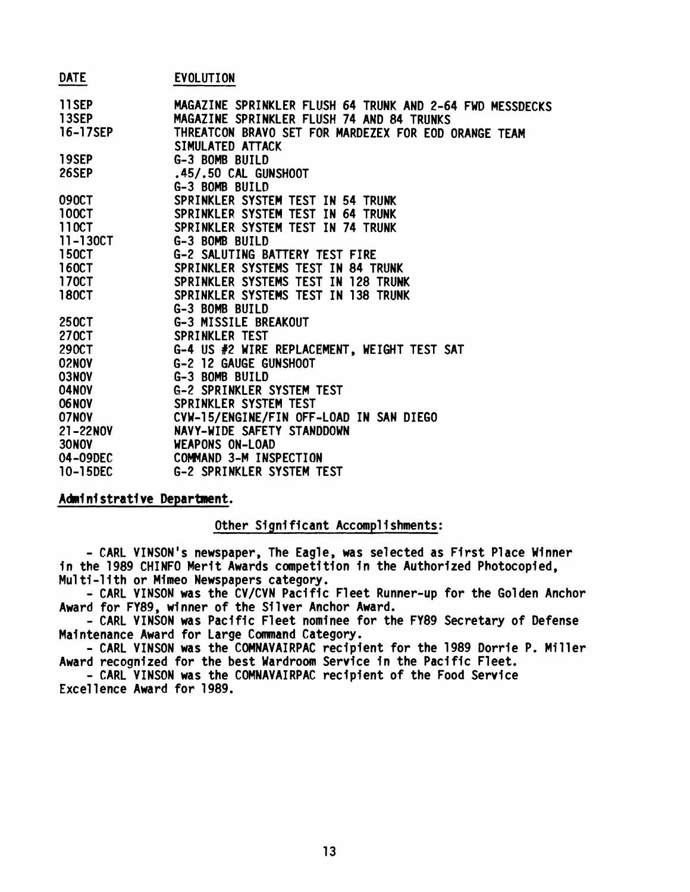| <b>DATE</b>  | EVOLUTION                                                                |
|--------------|--------------------------------------------------------------------------|
|              |                                                                          |
| <b>11SEP</b> | MAGAZINE SPRINKLER FLUSH 64 TRUNK AND 2-64 FWD MESSDECKS                 |
| 13SEP        | MAGAZINE SPRINKLER FLUSH 74 AND 84 TRUNKS                                |
| 16-17SEP     | THREATCON BRAVO SET FOR MARDEZEX FOR EOD ORANGE TEAM<br>SIMULATED ATTACK |
| 19SEP        | G-3 BOMB BUILD                                                           |
| 26SEP        |                                                                          |
|              | .45/.50 CAL GUNSHOOT<br>G-3 BOMB BUILD                                   |
| 090CT        | SPRINKLER SYSTEM TEST IN 54 TRUNK                                        |
| <b>100CT</b> | SPRINKLER SYSTEM TEST IN 64 TRUNK                                        |
| 110CT        | SPRINKLER SYSTEM TEST IN 74 TRUNK                                        |
| 11-130CT     |                                                                          |
| <b>150CT</b> | G-3 BOMB BUILD                                                           |
| <b>160CT</b> | G-2 SALUTING BATTERY TEST FIRE                                           |
|              | SPRINKLER SYSTEMS TEST IN 84 TRUNK                                       |
| <b>170CT</b> | SPRINKLER SYSTEMS TEST IN<br><b>128 TRUNK</b>                            |
| <b>180CT</b> | SPRINKLER SYSTEMS TEST IN 138 TRUNK                                      |
|              | G-3 BOMB BUILD                                                           |
| 250CT        | G-3 MISSILE BREAKOUT                                                     |
| 270CT        | SPRINKLER TEST                                                           |
| 290CT        | G-4 US #2 WIRE REPLACEMENT, WEIGHT TEST SAT                              |
| <b>02NOV</b> | G-2 12 GAUGE GUNSHOOT                                                    |
| 03NOV        | G-3 BOMB BUILD                                                           |
| 04NOV        | <b>G-2 SPRINKLER SYSTEM TEST</b>                                         |
| <b>06NOV</b> | SPRINKLER SYSTEM TEST                                                    |
| 07N0V        | CVW-15/ENGINE/FIN OFF-LOAD IN SAN DIEGO                                  |
| 21-22NOV     | NAVY-WIDE SAFETY STANDDOWN                                               |
| <b>30NOV</b> | <b>WEAPONS ON-LOAD</b>                                                   |
| 04-09DEC     | COMMAND 3-M INSPECTION                                                   |
| 10-15DEC     | <b>G-2 SPRINKLER SYSTEM TEST</b>                                         |

### **Ahi ni strati ve Department.**

### Other Significant Accomplishments:

- CARL VINSON's newspaper, The Eagle, was selected as First Place Winner in the 1989 CHINFO Merit Awards competition in the Authorized Photocopied, Mu1 ti-lith or Mimeo Newspapers category.

- CARL VINSON was the CV/CVN Pacific Fleet Runner-up for the Golden Anchor Award for FY89, winner of the Silver Anchor Award.

- CARL VINSON was Pacific Fleet nominee for the FY89 Secretary of Defense Maintenance Award for Large Command Category.

- CARL VINSON was the COMNAVAIRPAC recipient for the 1989 Dorrie P. Miller Award recognized for the best Wardroom Service in the Pacific Fleet.

- CARL VINSON was the COMNAVAIRPAC recipient of the Food Service Excellence Award for 1989.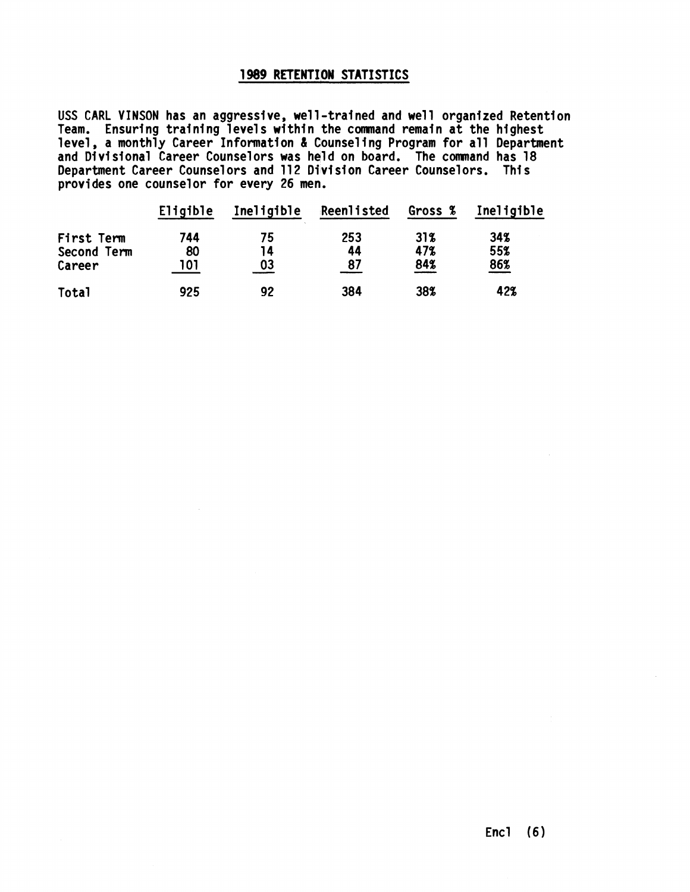## **1989 RETENTION STATISTICS**

USS CARL VINSON has an aggressive, well-trained and well organized Retention Team. Ensuring training levels within the command remain at the highest level, a monthly Career Information & Counseling Program for all Department and Divisional Career Counselors was held on board. The command has 18 Department Career Counselors and 112 Division Career Counselors. This provides one counselor for every 26 men.

|             | provides one counselor for every 26 men. |            |            |         |            |
|-------------|------------------------------------------|------------|------------|---------|------------|
|             | Eligible                                 | Ineligible | Reenlisted | Gross % | Ineligible |
| First Term  | 744                                      | 75         | 253        | 31%     | 34%        |
| Second Term | 80                                       | 14         | 44         | 47%     | 55%        |
| Career      | 101                                      | 03         | 87         | 84%     | 86%        |
| Total       | 925                                      | 92         | 384        | 38%     | 42%        |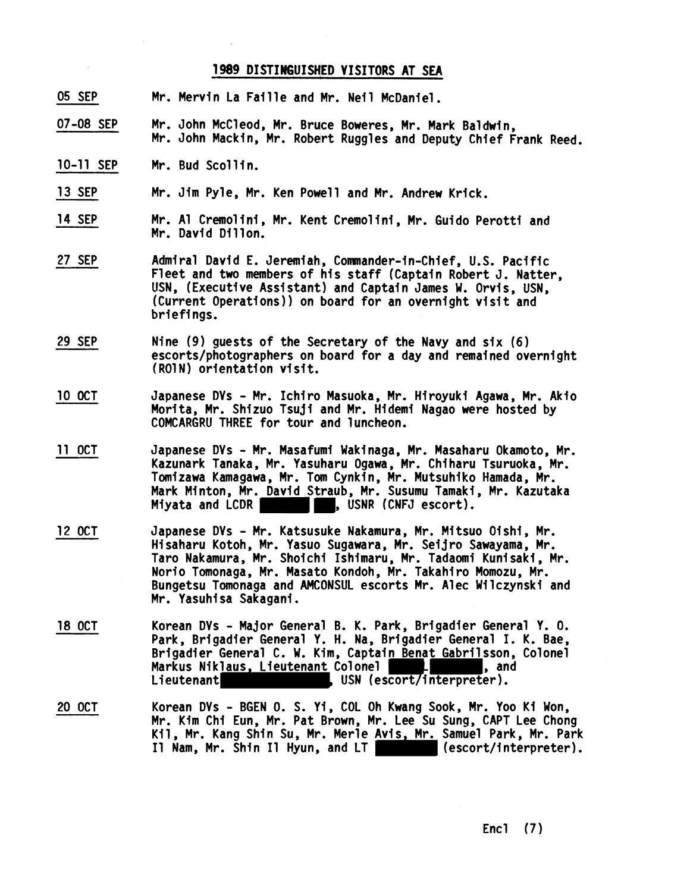### **1989 DISTINGUISHED VISITORS AT SEA**

- 05 SEP Mr. Mervin La Faille and Mr. Neil McDaniel.
- 07-08 SEP Mr. John McCleod, Mr. Bruce Boweres, Mr. Mark Baldwin, Mr. John Mackin, Mr. Robert Ruggles and Deputy Chief Frank Reed.
- 10-11 SEP Mr. Bud Scollin.
- 13 SEP Mr. Jim Pyle, Mr. Ken Powell and Mr. Andrew Krick.
- 14 SEP Mr. Al Cremolini, Mr. Kent Cremolini, Mr. Guido Perotti and Mr. David Dillon.
- 27 SEP Admiral David E. Jeremiah, Commander-in-Chief, U.S. Pacific Fleet and two members of his staff (Captain Robert J. Natter, USN, (Executive Assistant) and Captain James W. Orvis, USN, (Current Operations)) on board for an overnight visit and briefings.
- 29 SEP Nine (9) guests of the Secretary of the Navy and six (6) escorts/photographers on board for a day and remained overnight (RO1N) orientation visit.
- 10 OCT Japanese DVs - Mr. Ichiro Masuoka, Mr. Hiroyuki Agawa, Mr. Akio Morita, Mr. Shizuo Tsuji and Mr. Hidemi Nagao were hosted by COMCARGRU THREE for tour and luncheon.
- 11 OCT Japanese DVs - Mr. Masafumi Wakinaga, Mr. Masaharu Okamoto, Mr. Kazunark Tanaka, Mr. Yasuharu Ogawa, Mr. Chi haru Tsuruoka, Mr. Tomizawa Kamagawa, Mr. Tom Cynkin, Mr. Mutsuhiko Hamada, Mr. Mark Minton, Mr. David Straub, Mr. Susumu Tamaki, Mr. Kazutaka<br>Miyata and LCDR **Contains Trans**, USNR (CNFJ escort). , USNR (CNFJ escort).
- 12 OCT Japanese DVs - Mr. Katsusuke Nakamura, Mr. Mitsuo Oishi, Mr. Hisaharu Kotoh, Mr. Yasuo Sugawara, Mr. Sei jro Sawayama, Mr. Taro Nakamura, Mr. Shoichi Ishimaru, Mr. Tadaomi Kunisaki, Mr. Norio Tomonaga, Mr. Masato Kondoh, Mr. Takahiro Momozu, Mr. Bungetsu Tmonaga and AMCONSUL escorts Mr. Alec Wilczynski and Mr. Yasuhi sa Sakagani .
- 18 OCT Korean DVs - Major General B. K. Park, Brigadier General Y. 0. Park, Brigadier General Y. H. Na, Brigadier General I. K. Bae, Brigadier General C. W. Kim, Captain Benat Gabril sson, Colonel Markus Niklaus, Lieutenant Colonel **Landing (1988)**, and<br>Lieutenant **Landing (1988), USN (escort/interpreter).**
- 20 OCT Korean DVs - BGEN **0.** S. Yi, COL Oh Kwang Sook, Mr. Yoo Ki Won, Mr. Kim Chi Eun, Mr. Pat Brown, Mr. Lee Su Sung, CAPT Lee Chong Kil, Mr. Kang Shin Su, Mr. Merle Avis, Mr. Samuel Park, Mr. Park<br>Il Nam, Mr. Shin Il Hyun, and LT (escort/interpreter). I1 Nam, Mr. Shin I1 Hyun, and LT (escortingle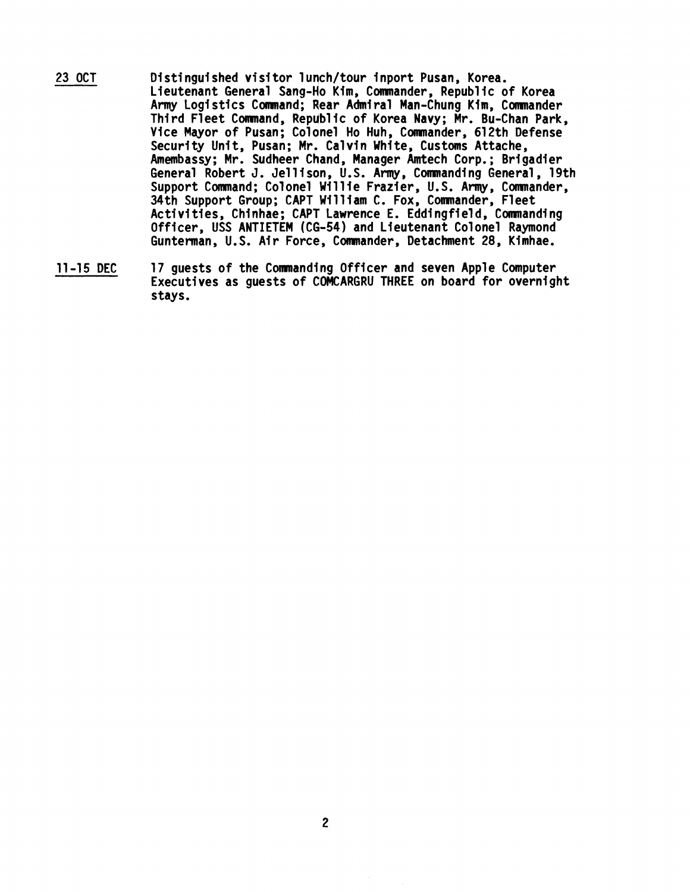- 23 OCT Distinguished visitor lunch/tour inport Pusan, Korea. Lieutenant General Sang-Ho Kim, Commander, Republic of Korea Army Logistics Command; Rear Admiral Man-Chung Kim, Commander Third Fleet Command, Republic of Korea Navy; Mr. Bu-Chan Park, Vice Mayor of Pusan; Colonel Ho Huh, Commander, 612th Defense Security Unit, Pusan; Mr. Calvin White, Customs Attache, Amembassy; Mr. Sudheer Chand, Manager Amtech Corp.; Brigadier General Robert J. Jellison, U.S. Army, Commanding General, 19th Support Command; Colonel Willie Frazier, U.S. Army, Commander, 34th Support Group; CAP1 William C. Fox, Comnander, Fleet Activities, Chinhae; CAPT Lawrence E. Eddingfield, Commanding Officer, USS ANTIETEM (CG-54) and Lieutenant Colonel Raymond Gunterman, U.S. Air Force, Commander, Detachment 28, Kimhae.
- 11-15 DEC 17 guests of the Commanding Officer and seven Apple Computer Executives as guests of QOMCARGRU THREE on board for overnight stays.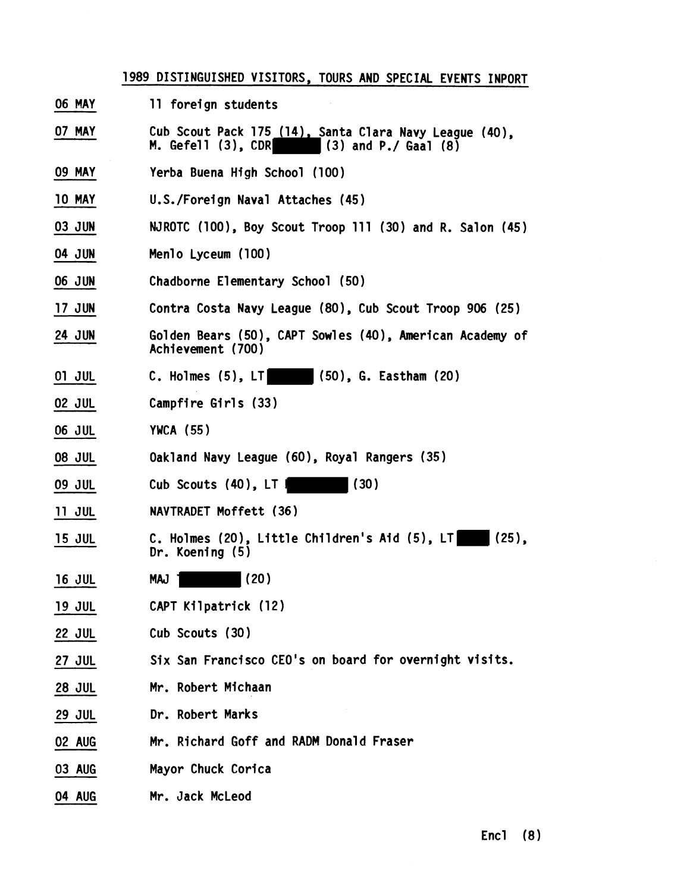|               | 1989 DISTINGUISHED VISITORS, TOURS AND SPECIAL EVENTS INPORT                                         |
|---------------|------------------------------------------------------------------------------------------------------|
| <b>06 MAY</b> | 11 foreign students                                                                                  |
| 07 MAY        | Cub Scout Pack 175 (14), Santa Clara Navy League (40),<br>M. Gefell (3), CDR<br>(3) and P./ Gaal (8) |
| <b>09 MAY</b> | Yerba Buena High School (100)                                                                        |
| <b>10 MAY</b> | U.S./Foreign Naval Attaches (45)                                                                     |
| 03 JUN        | NJROTC (100), Boy Scout Troop 111 (30) and R. Salon (45)                                             |
| <b>04 JUN</b> | Menlo Lyceum (100)                                                                                   |
| <b>06 JUN</b> | Chadborne Elementary School (50)                                                                     |
| <b>17 JUN</b> | Contra Costa Navy League (80), Cub Scout Troop 906 (25)                                              |
| <b>24 JUN</b> | Golden Bears (50), CAPT Sowles (40), American Academy of<br>Achievement (700)                        |
| 01 JUL        | C. Holmes $(5)$ , LT $(50)$ , G. Eastham $(20)$                                                      |
| <b>02 JUL</b> | Campfire Girls (33)                                                                                  |
| <b>06 JUL</b> | <b>YWCA (55)</b>                                                                                     |
| <b>08 JUL</b> | Oakland Navy League (60), Royal Rangers (35)                                                         |
| <b>09 JUL</b> | (30)<br>Cub Scouts (40), LT I                                                                        |
| <b>11 JUL</b> | NAVTRADET Moffett (36)                                                                               |
| <b>15 JUL</b> | C. Holmes (20), Little Children's Aid (5), LT<br>  (25).<br>Dr. Koening $(5)$                        |
| <b>16 JUL</b> | MAJ 1 (20)                                                                                           |
| 19 JUL        | CAPT Kilpatrick (12)                                                                                 |
| <b>22 JUL</b> | Cub Scouts (30)                                                                                      |
| 27 JUL        | Six San Francisco CEO's on board for overnight visits.                                               |
| <b>28 JUL</b> | Mr. Robert Michaan                                                                                   |
| <b>29 JUL</b> | Dr. Robert Marks                                                                                     |
| 02 AUG        | Mr. Richard Goff and RADM Donald Fraser                                                              |
| 03 AUG        | Mayor Chuck Corica                                                                                   |
| 04 AUG        | Mr. Jack McLeod                                                                                      |